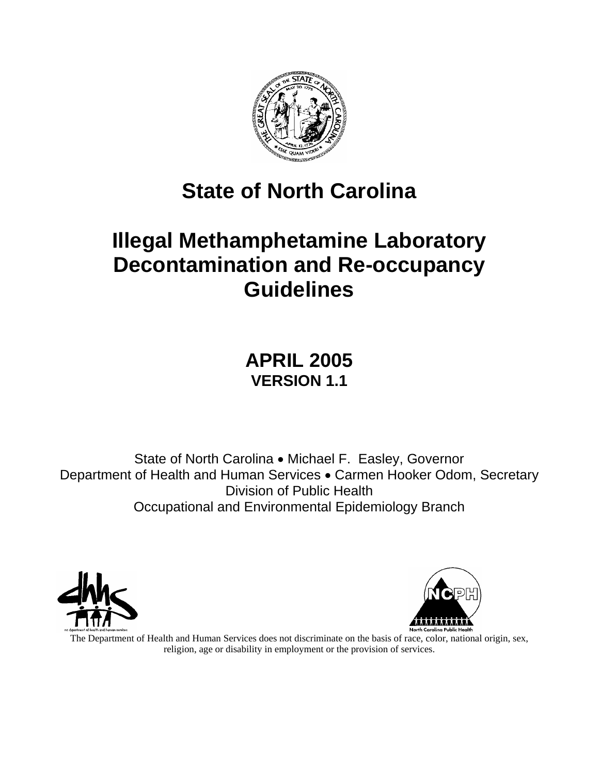

# **State of North Carolina**

# **Illegal Methamphetamine Laboratory Decontamination and Re-occupancy Guidelines**

**APRIL 2005 VERSION 1.1** 

State of North Carolina • Michael F. Easley, Governor Department of Health and Human Services • Carmen Hooker Odom, Secretary Division of Public Health Occupational and Environmental Epidemiology Branch





The Department of Health and Human Services does not discriminate on the basis of race, color, national origin, sex, religion, age or disability in employment or the provision of services.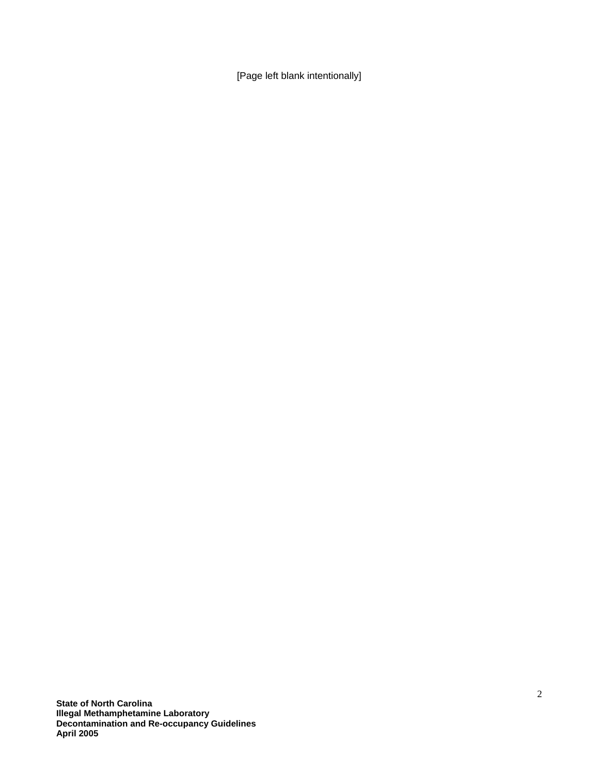[Page left blank intentionally]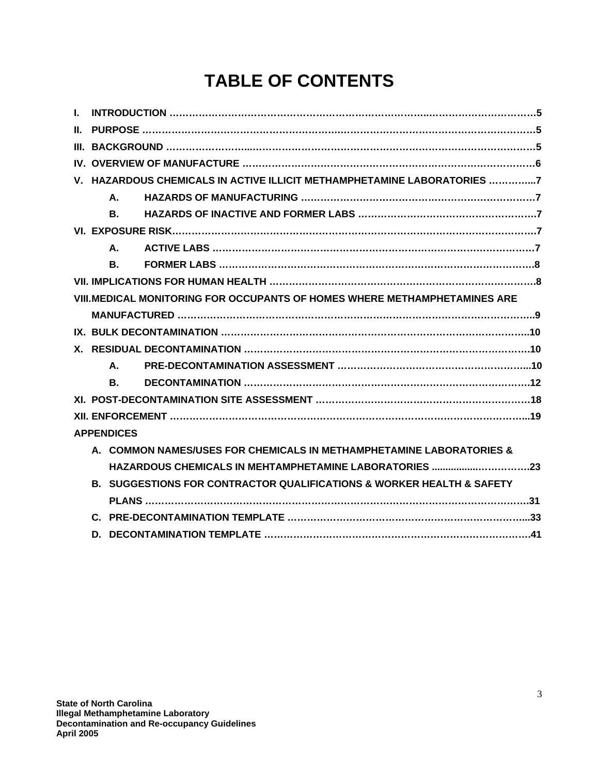# **TABLE OF CONTENTS**

|                                                                            |  | V. HAZARDOUS CHEMICALS IN ACTIVE ILLICIT METHAMPHETAMINE LABORATORIES 7              |  |  |  |
|----------------------------------------------------------------------------|--|--------------------------------------------------------------------------------------|--|--|--|
|                                                                            |  | А.                                                                                   |  |  |  |
|                                                                            |  | В.                                                                                   |  |  |  |
|                                                                            |  |                                                                                      |  |  |  |
|                                                                            |  | А.                                                                                   |  |  |  |
|                                                                            |  | В.                                                                                   |  |  |  |
|                                                                            |  |                                                                                      |  |  |  |
| VIII. MEDICAL MONITORING FOR OCCUPANTS OF HOMES WHERE METHAMPHETAMINES ARE |  |                                                                                      |  |  |  |
|                                                                            |  |                                                                                      |  |  |  |
|                                                                            |  |                                                                                      |  |  |  |
|                                                                            |  |                                                                                      |  |  |  |
|                                                                            |  | А.                                                                                   |  |  |  |
|                                                                            |  | В.                                                                                   |  |  |  |
|                                                                            |  |                                                                                      |  |  |  |
|                                                                            |  |                                                                                      |  |  |  |
| <b>APPENDICES</b>                                                          |  |                                                                                      |  |  |  |
|                                                                            |  | A. COMMON NAMES/USES FOR CHEMICALS IN METHAMPHETAMINE LABORATORIES &                 |  |  |  |
|                                                                            |  | HAZARDOUS CHEMICALS IN MEHTAMPHETAMINE LABORATORIES 23                               |  |  |  |
|                                                                            |  | <b>B. SUGGESTIONS FOR CONTRACTOR QUALIFICATIONS &amp; WORKER HEALTH &amp; SAFETY</b> |  |  |  |
|                                                                            |  |                                                                                      |  |  |  |
|                                                                            |  |                                                                                      |  |  |  |
|                                                                            |  |                                                                                      |  |  |  |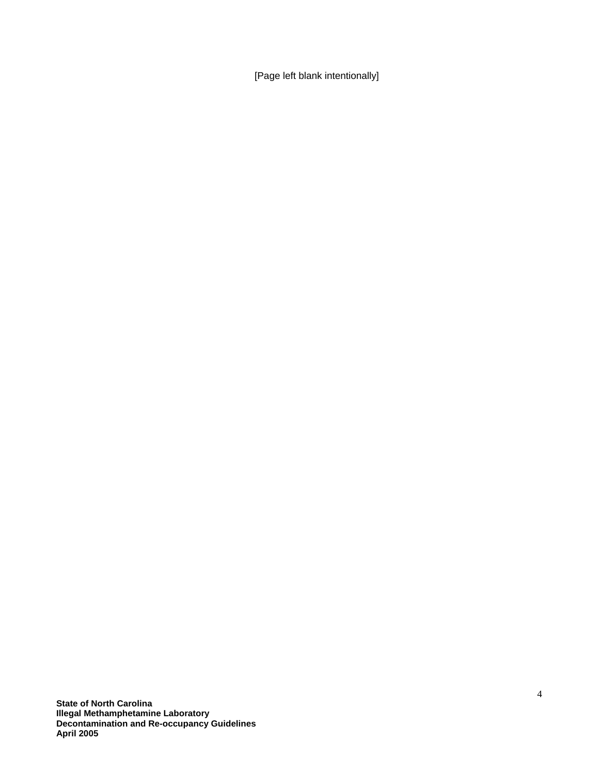[Page left blank intentionally]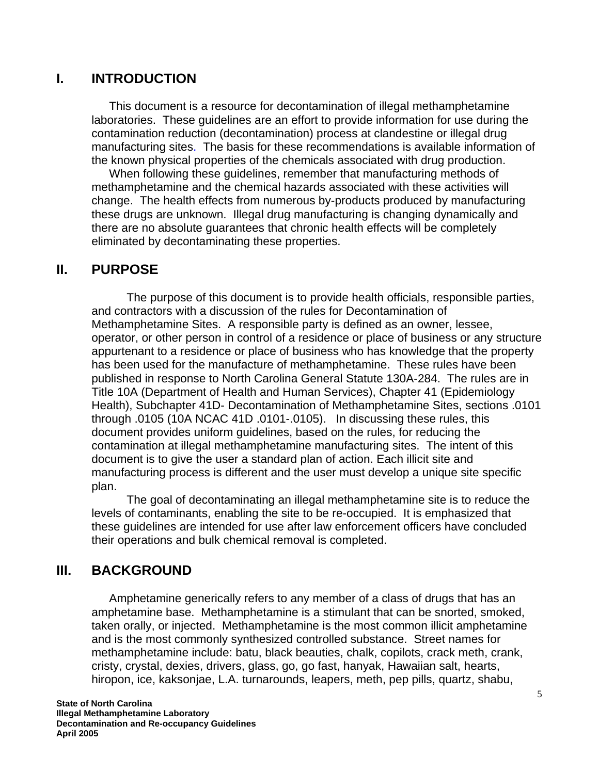# **I. INTRODUCTION**

This document is a resource for decontamination of illegal methamphetamine laboratories. These guidelines are an effort to provide information for use during the contamination reduction (decontamination) process at clandestine or illegal drug manufacturing sites. The basis for these recommendations is available information of the known physical properties of the chemicals associated with drug production.

When following these guidelines, remember that manufacturing methods of methamphetamine and the chemical hazards associated with these activities will change. The health effects from numerous by-products produced by manufacturing these drugs are unknown. Illegal drug manufacturing is changing dynamically and there are no absolute guarantees that chronic health effects will be completely eliminated by decontaminating these properties.

## **II. PURPOSE**

The purpose of this document is to provide health officials, responsible parties, and contractors with a discussion of the rules for Decontamination of Methamphetamine Sites. A responsible party is defined as an owner, lessee, operator, or other person in control of a residence or place of business or any structure appurtenant to a residence or place of business who has knowledge that the property has been used for the manufacture of methamphetamine. These rules have been published in response to North Carolina General Statute 130A-284. The rules are in Title 10A (Department of Health and Human Services), Chapter 41 (Epidemiology Health), Subchapter 41D- Decontamination of Methamphetamine Sites, sections .0101 through .0105 (10A NCAC 41D .0101-.0105). In discussing these rules, this document provides uniform guidelines, based on the rules, for reducing the contamination at illegal methamphetamine manufacturing sites. The intent of this document is to give the user a standard plan of action. Each illicit site and manufacturing process is different and the user must develop a unique site specific plan.

The goal of decontaminating an illegal methamphetamine site is to reduce the levels of contaminants, enabling the site to be re-occupied. It is emphasized that these guidelines are intended for use after law enforcement officers have concluded their operations and bulk chemical removal is completed.

## **III. BACKGROUND**

Amphetamine generically refers to any member of a class of drugs that has an amphetamine base. Methamphetamine is a stimulant that can be snorted, smoked, taken orally, or injected. Methamphetamine is the most common illicit amphetamine and is the most commonly synthesized controlled substance. Street names for methamphetamine include: batu, black beauties, chalk, copilots, crack meth, crank, cristy, crystal, dexies, drivers, glass, go, go fast, hanyak, Hawaiian salt, hearts, hiropon, ice, kaksonjae, L.A. turnarounds, leapers, meth, pep pills, quartz, shabu,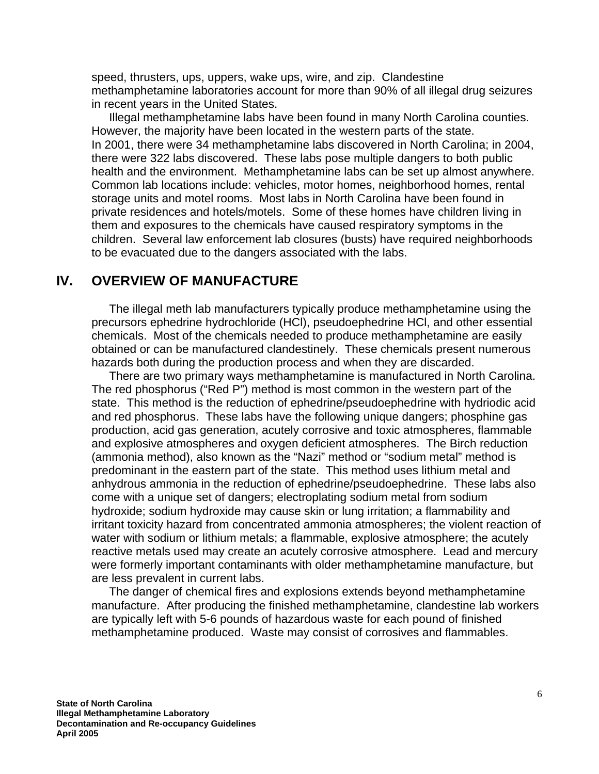speed, thrusters, ups, uppers, wake ups, wire, and zip. Clandestine methamphetamine laboratories account for more than 90% of all illegal drug seizures in recent years in the United States.

Illegal methamphetamine labs have been found in many North Carolina counties. However, the majority have been located in the western parts of the state. In 2001, there were 34 methamphetamine labs discovered in North Carolina; in 2004, there were 322 labs discovered. These labs pose multiple dangers to both public health and the environment. Methamphetamine labs can be set up almost anywhere. Common lab locations include: vehicles, motor homes, neighborhood homes, rental storage units and motel rooms. Most labs in North Carolina have been found in private residences and hotels/motels. Some of these homes have children living in them and exposures to the chemicals have caused respiratory symptoms in the children. Several law enforcement lab closures (busts) have required neighborhoods to be evacuated due to the dangers associated with the labs.

## **IV. OVERVIEW OF MANUFACTURE**

The illegal meth lab manufacturers typically produce methamphetamine using the precursors ephedrine hydrochloride (HCl), pseudoephedrine HCl, and other essential chemicals. Most of the chemicals needed to produce methamphetamine are easily obtained or can be manufactured clandestinely. These chemicals present numerous hazards both during the production process and when they are discarded.

There are two primary ways methamphetamine is manufactured in North Carolina. The red phosphorus ("Red P") method is most common in the western part of the state. This method is the reduction of ephedrine/pseudoephedrine with hydriodic acid and red phosphorus. These labs have the following unique dangers; phosphine gas production, acid gas generation, acutely corrosive and toxic atmospheres, flammable and explosive atmospheres and oxygen deficient atmospheres. The Birch reduction (ammonia method), also known as the "Nazi" method or "sodium metal" method is predominant in the eastern part of the state. This method uses lithium metal and anhydrous ammonia in the reduction of ephedrine/pseudoephedrine. These labs also come with a unique set of dangers; electroplating sodium metal from sodium hydroxide; sodium hydroxide may cause skin or lung irritation; a flammability and irritant toxicity hazard from concentrated ammonia atmospheres; the violent reaction of water with sodium or lithium metals; a flammable, explosive atmosphere; the acutely reactive metals used may create an acutely corrosive atmosphere. Lead and mercury were formerly important contaminants with older methamphetamine manufacture, but are less prevalent in current labs.

The danger of chemical fires and explosions extends beyond methamphetamine manufacture. After producing the finished methamphetamine, clandestine lab workers are typically left with 5-6 pounds of hazardous waste for each pound of finished methamphetamine produced. Waste may consist of corrosives and flammables.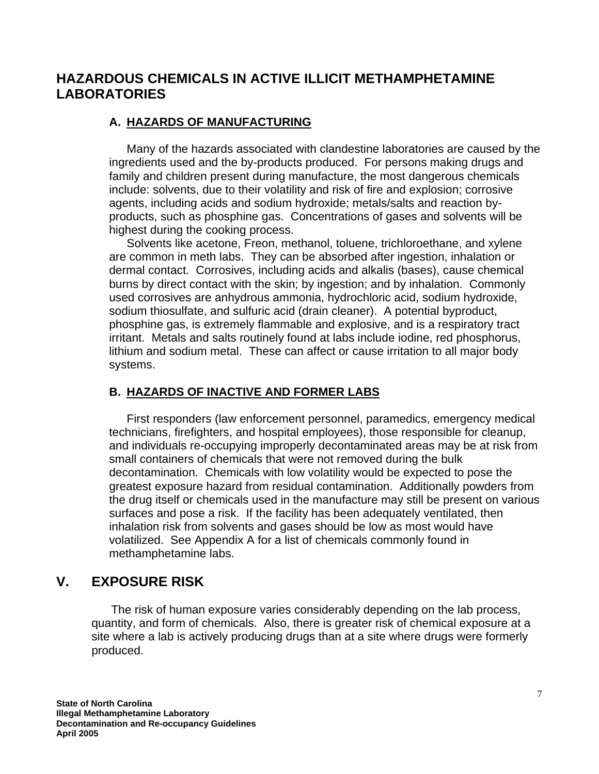# **HAZARDOUS CHEMICALS IN ACTIVE ILLICIT METHAMPHETAMINE LABORATORIES**

## **A. HAZARDS OF MANUFACTURING**

Many of the hazards associated with clandestine laboratories are caused by the ingredients used and the by-products produced. For persons making drugs and family and children present during manufacture, the most dangerous chemicals include: solvents, due to their volatility and risk of fire and explosion; corrosive agents, including acids and sodium hydroxide; metals/salts and reaction byproducts, such as phosphine gas. Concentrations of gases and solvents will be highest during the cooking process.

Solvents like acetone, Freon, methanol, toluene, trichloroethane, and xylene are common in meth labs. They can be absorbed after ingestion, inhalation or dermal contact. Corrosives, including acids and alkalis (bases), cause chemical burns by direct contact with the skin; by ingestion; and by inhalation. Commonly used corrosives are anhydrous ammonia, hydrochloric acid, sodium hydroxide, sodium thiosulfate, and sulfuric acid (drain cleaner). A potential byproduct, phosphine gas, is extremely flammable and explosive, and is a respiratory tract irritant. Metals and salts routinely found at labs include iodine, red phosphorus, lithium and sodium metal. These can affect or cause irritation to all major body systems.

## **B. HAZARDS OF INACTIVE AND FORMER LABS**

First responders (law enforcement personnel, paramedics, emergency medical technicians, firefighters, and hospital employees), those responsible for cleanup, and individuals re-occupying improperly decontaminated areas may be at risk from small containers of chemicals that were not removed during the bulk decontamination. Chemicals with low volatility would be expected to pose the greatest exposure hazard from residual contamination. Additionally powders from the drug itself or chemicals used in the manufacture may still be present on various surfaces and pose a risk. If the facility has been adequately ventilated, then inhalation risk from solvents and gases should be low as most would have volatilized. See Appendix A for a list of chemicals commonly found in methamphetamine labs.

# **V. EXPOSURE RISK**

 The risk of human exposure varies considerably depending on the lab process, quantity, and form of chemicals. Also, there is greater risk of chemical exposure at a site where a lab is actively producing drugs than at a site where drugs were formerly produced.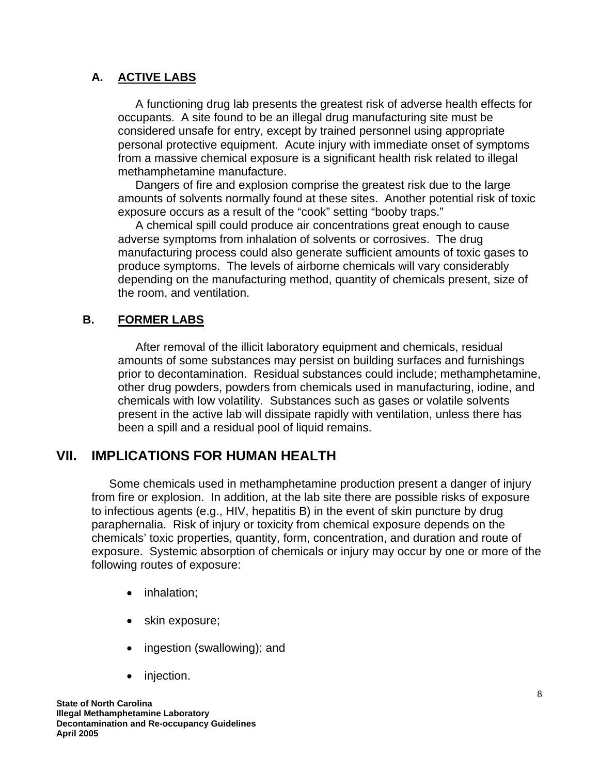## **A. ACTIVE LABS**

A functioning drug lab presents the greatest risk of adverse health effects for occupants. A site found to be an illegal drug manufacturing site must be considered unsafe for entry, except by trained personnel using appropriate personal protective equipment. Acute injury with immediate onset of symptoms from a massive chemical exposure is a significant health risk related to illegal methamphetamine manufacture.

Dangers of fire and explosion comprise the greatest risk due to the large amounts of solvents normally found at these sites. Another potential risk of toxic exposure occurs as a result of the "cook" setting "booby traps."

A chemical spill could produce air concentrations great enough to cause adverse symptoms from inhalation of solvents or corrosives. The drug manufacturing process could also generate sufficient amounts of toxic gases to produce symptoms. The levels of airborne chemicals will vary considerably depending on the manufacturing method, quantity of chemicals present, size of the room, and ventilation.

## **B. FORMER LABS**

After removal of the illicit laboratory equipment and chemicals, residual amounts of some substances may persist on building surfaces and furnishings prior to decontamination. Residual substances could include; methamphetamine, other drug powders, powders from chemicals used in manufacturing, iodine, and chemicals with low volatility. Substances such as gases or volatile solvents present in the active lab will dissipate rapidly with ventilation, unless there has been a spill and a residual pool of liquid remains.

## **VII. IMPLICATIONS FOR HUMAN HEALTH**

Some chemicals used in methamphetamine production present a danger of injury from fire or explosion. In addition, at the lab site there are possible risks of exposure to infectious agents (e.g., HIV, hepatitis B) in the event of skin puncture by drug paraphernalia. Risk of injury or toxicity from chemical exposure depends on the chemicals' toxic properties, quantity, form, concentration, and duration and route of exposure. Systemic absorption of chemicals or injury may occur by one or more of the following routes of exposure:

- inhalation:
- skin exposure;
- ingestion (swallowing); and
- injection.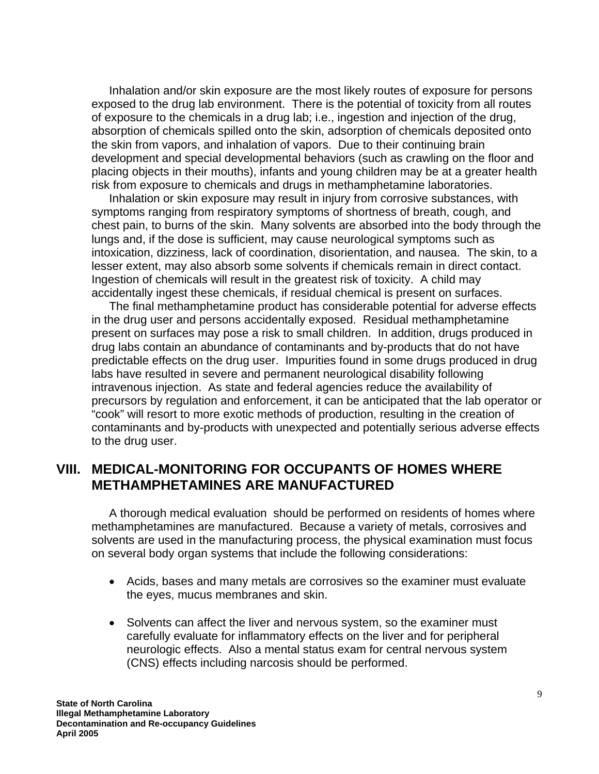Inhalation and/or skin exposure are the most likely routes of exposure for persons exposed to the drug lab environment. There is the potential of toxicity from all routes of exposure to the chemicals in a drug lab; i.e., ingestion and injection of the drug, absorption of chemicals spilled onto the skin, adsorption of chemicals deposited onto the skin from vapors, and inhalation of vapors. Due to their continuing brain development and special developmental behaviors (such as crawling on the floor and placing objects in their mouths), infants and young children may be at a greater health risk from exposure to chemicals and drugs in methamphetamine laboratories.

Inhalation or skin exposure may result in injury from corrosive substances, with symptoms ranging from respiratory symptoms of shortness of breath, cough, and chest pain, to burns of the skin. Many solvents are absorbed into the body through the lungs and, if the dose is sufficient, may cause neurological symptoms such as intoxication, dizziness, lack of coordination, disorientation, and nausea. The skin, to a lesser extent, may also absorb some solvents if chemicals remain in direct contact. Ingestion of chemicals will result in the greatest risk of toxicity. A child may accidentally ingest these chemicals, if residual chemical is present on surfaces.

The final methamphetamine product has considerable potential for adverse effects in the drug user and persons accidentally exposed. Residual methamphetamine present on surfaces may pose a risk to small children. In addition, drugs produced in drug labs contain an abundance of contaminants and by-products that do not have predictable effects on the drug user. Impurities found in some drugs produced in drug labs have resulted in severe and permanent neurological disability following intravenous injection. As state and federal agencies reduce the availability of precursors by regulation and enforcement, it can be anticipated that the lab operator or "cook" will resort to more exotic methods of production, resulting in the creation of contaminants and by-products with unexpected and potentially serious adverse effects to the drug user.

## **VIII. MEDICAL-MONITORING FOR OCCUPANTS OF HOMES WHERE METHAMPHETAMINES ARE MANUFACTURED**

A thorough medical evaluation should be performed on residents of homes where methamphetamines are manufactured. Because a variety of metals, corrosives and solvents are used in the manufacturing process, the physical examination must focus on several body organ systems that include the following considerations:

- Acids, bases and many metals are corrosives so the examiner must evaluate the eyes, mucus membranes and skin.
- Solvents can affect the liver and nervous system, so the examiner must carefully evaluate for inflammatory effects on the liver and for peripheral neurologic effects. Also a mental status exam for central nervous system (CNS) effects including narcosis should be performed.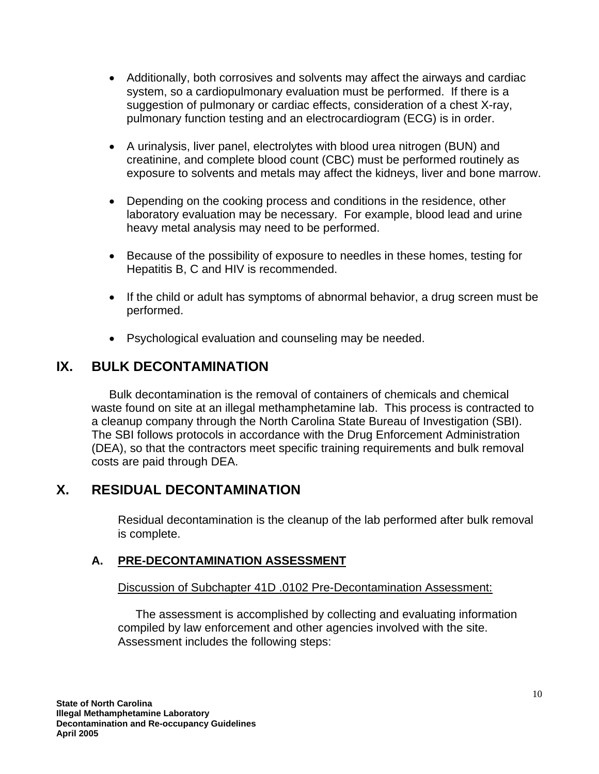- Additionally, both corrosives and solvents may affect the airways and cardiac system, so a cardiopulmonary evaluation must be performed. If there is a suggestion of pulmonary or cardiac effects, consideration of a chest X-ray, pulmonary function testing and an electrocardiogram (ECG) is in order.
- A urinalysis, liver panel, electrolytes with blood urea nitrogen (BUN) and creatinine, and complete blood count (CBC) must be performed routinely as exposure to solvents and metals may affect the kidneys, liver and bone marrow.
- Depending on the cooking process and conditions in the residence, other laboratory evaluation may be necessary. For example, blood lead and urine heavy metal analysis may need to be performed.
- Because of the possibility of exposure to needles in these homes, testing for Hepatitis B, C and HIV is recommended.
- If the child or adult has symptoms of abnormal behavior, a drug screen must be performed.
- Psychological evaluation and counseling may be needed.

# **IX. BULK DECONTAMINATION**

Bulk decontamination is the removal of containers of chemicals and chemical waste found on site at an illegal methamphetamine lab. This process is contracted to a cleanup company through the North Carolina State Bureau of Investigation (SBI). The SBI follows protocols in accordance with the Drug Enforcement Administration (DEA), so that the contractors meet specific training requirements and bulk removal costs are paid through DEA.

# **X. RESIDUAL DECONTAMINATION**

Residual decontamination is the cleanup of the lab performed after bulk removal is complete.

## **A. PRE-DECONTAMINATION ASSESSMENT**

Discussion of Subchapter 41D .0102 Pre-Decontamination Assessment:

The assessment is accomplished by collecting and evaluating information compiled by law enforcement and other agencies involved with the site. Assessment includes the following steps: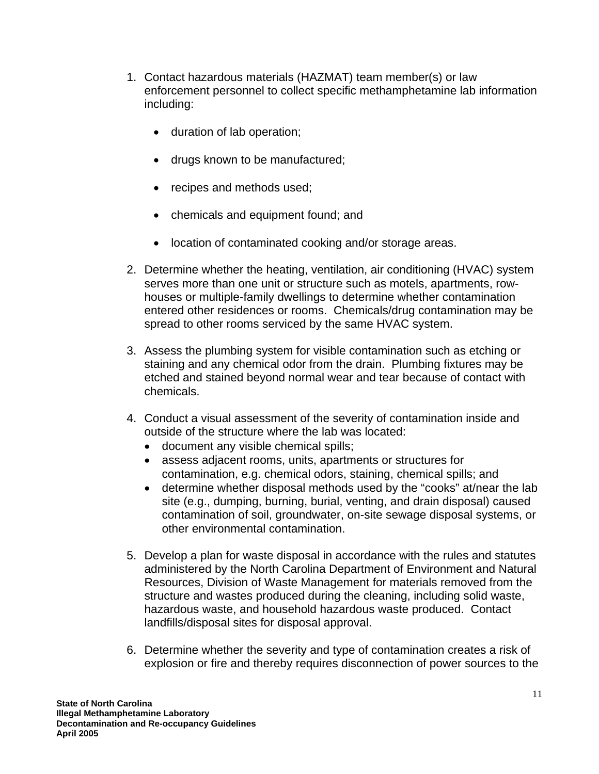- 1. Contact hazardous materials (HAZMAT) team member(s) or law enforcement personnel to collect specific methamphetamine lab information including:
	- duration of lab operation;
	- drugs known to be manufactured;
	- recipes and methods used;
	- chemicals and equipment found; and
	- location of contaminated cooking and/or storage areas.
- 2. Determine whether the heating, ventilation, air conditioning (HVAC) system serves more than one unit or structure such as motels, apartments, rowhouses or multiple-family dwellings to determine whether contamination entered other residences or rooms. Chemicals/drug contamination may be spread to other rooms serviced by the same HVAC system.
- 3. Assess the plumbing system for visible contamination such as etching or staining and any chemical odor from the drain. Plumbing fixtures may be etched and stained beyond normal wear and tear because of contact with chemicals.
- 4. Conduct a visual assessment of the severity of contamination inside and outside of the structure where the lab was located:
	- document any visible chemical spills;
	- assess adjacent rooms, units, apartments or structures for contamination, e.g. chemical odors, staining, chemical spills; and
	- determine whether disposal methods used by the "cooks" at/near the lab site (e.g., dumping, burning, burial, venting, and drain disposal) caused contamination of soil, groundwater, on-site sewage disposal systems, or other environmental contamination.
- 5. Develop a plan for waste disposal in accordance with the rules and statutes administered by the North Carolina Department of Environment and Natural Resources, Division of Waste Management for materials removed from the structure and wastes produced during the cleaning, including solid waste, hazardous waste, and household hazardous waste produced. Contact landfills/disposal sites for disposal approval.
- 6. Determine whether the severity and type of contamination creates a risk of explosion or fire and thereby requires disconnection of power sources to the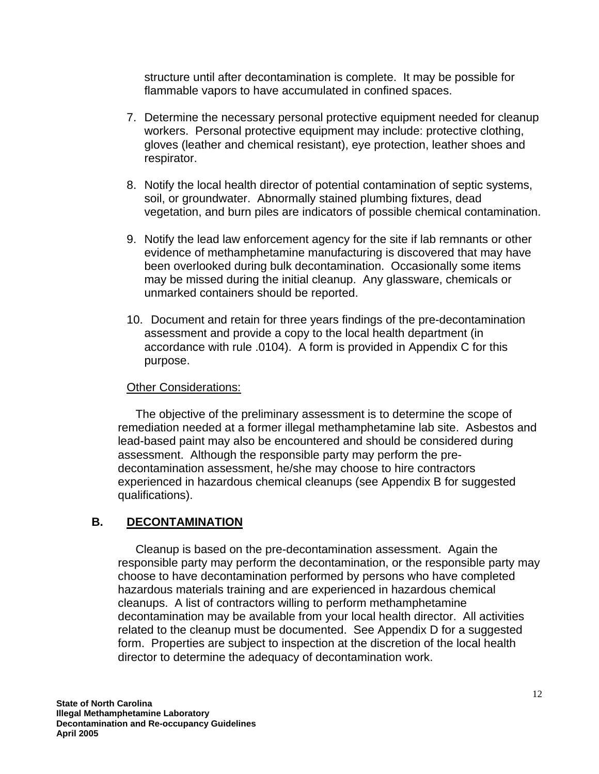structure until after decontamination is complete. It may be possible for flammable vapors to have accumulated in confined spaces.

- 7. Determine the necessary personal protective equipment needed for cleanup workers. Personal protective equipment may include: protective clothing, gloves (leather and chemical resistant), eye protection, leather shoes and respirator.
- 8. Notify the local health director of potential contamination of septic systems, soil, or groundwater. Abnormally stained plumbing fixtures, dead vegetation, and burn piles are indicators of possible chemical contamination.
- 9. Notify the lead law enforcement agency for the site if lab remnants or other evidence of methamphetamine manufacturing is discovered that may have been overlooked during bulk decontamination. Occasionally some items may be missed during the initial cleanup. Any glassware, chemicals or unmarked containers should be reported.
- 10. Document and retain for three years findings of the pre-decontamination assessment and provide a copy to the local health department (in accordance with rule .0104). A form is provided in Appendix C for this purpose.

#### Other Considerations:

The objective of the preliminary assessment is to determine the scope of remediation needed at a former illegal methamphetamine lab site. Asbestos and lead-based paint may also be encountered and should be considered during assessment. Although the responsible party may perform the predecontamination assessment, he/she may choose to hire contractors experienced in hazardous chemical cleanups (see Appendix B for suggested qualifications).

## **B. DECONTAMINATION**

Cleanup is based on the pre-decontamination assessment. Again the responsible party may perform the decontamination, or the responsible party may choose to have decontamination performed by persons who have completed hazardous materials training and are experienced in hazardous chemical cleanups. A list of contractors willing to perform methamphetamine decontamination may be available from your local health director. All activities related to the cleanup must be documented. See Appendix D for a suggested form. Properties are subject to inspection at the discretion of the local health director to determine the adequacy of decontamination work.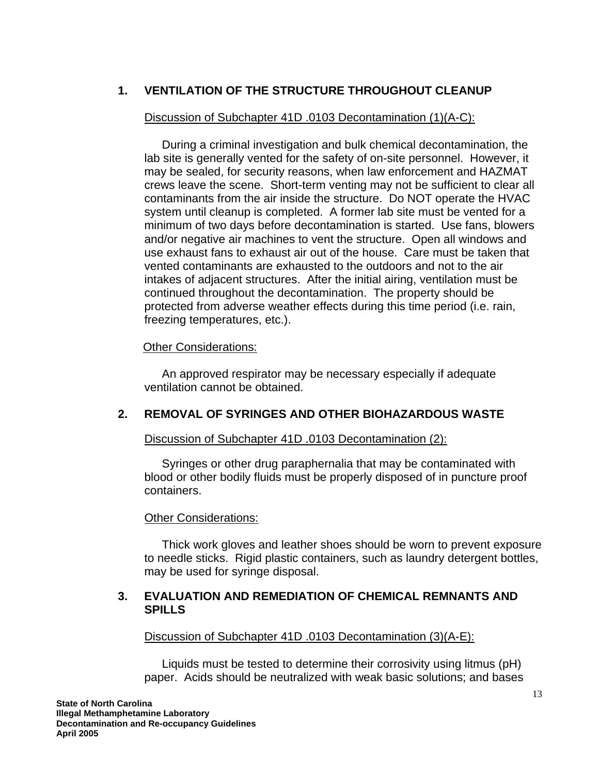## **1. VENTILATION OF THE STRUCTURE THROUGHOUT CLEANUP**

## Discussion of Subchapter 41D .0103 Decontamination (1)(A-C):

During a criminal investigation and bulk chemical decontamination, the lab site is generally vented for the safety of on-site personnel. However, it may be sealed, for security reasons, when law enforcement and HAZMAT crews leave the scene. Short-term venting may not be sufficient to clear all contaminants from the air inside the structure. Do NOT operate the HVAC system until cleanup is completed. A former lab site must be vented for a minimum of two days before decontamination is started. Use fans, blowers and/or negative air machines to vent the structure. Open all windows and use exhaust fans to exhaust air out of the house. Care must be taken that vented contaminants are exhausted to the outdoors and not to the air intakes of adjacent structures. After the initial airing, ventilation must be continued throughout the decontamination. The property should be protected from adverse weather effects during this time period (i.e. rain, freezing temperatures, etc.).

## Other Considerations:

An approved respirator may be necessary especially if adequate ventilation cannot be obtained.

## **2. REMOVAL OF SYRINGES AND OTHER BIOHAZARDOUS WASTE**

## Discussion of Subchapter 41D .0103 Decontamination (2):

Syringes or other drug paraphernalia that may be contaminated with blood or other bodily fluids must be properly disposed of in puncture proof containers.

## Other Considerations:

Thick work gloves and leather shoes should be worn to prevent exposure to needle sticks. Rigid plastic containers, such as laundry detergent bottles, may be used for syringe disposal.

## **3. EVALUATION AND REMEDIATION OF CHEMICAL REMNANTS AND SPILLS**

Discussion of Subchapter 41D .0103 Decontamination (3)(A-E):

Liquids must be tested to determine their corrosivity using litmus (pH) paper. Acids should be neutralized with weak basic solutions; and bases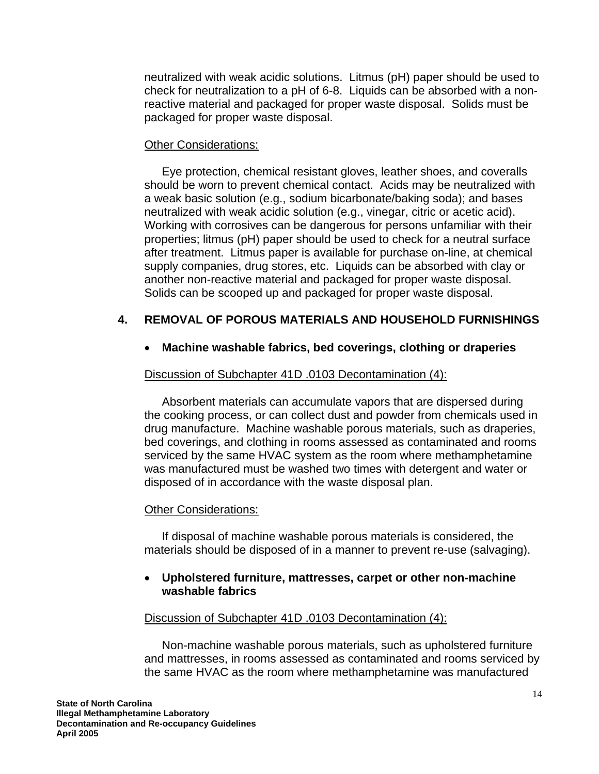neutralized with weak acidic solutions. Litmus (pH) paper should be used to check for neutralization to a pH of 6-8. Liquids can be absorbed with a nonreactive material and packaged for proper waste disposal. Solids must be packaged for proper waste disposal.

#### **Other Considerations:**

Eye protection, chemical resistant gloves, leather shoes, and coveralls should be worn to prevent chemical contact. Acids may be neutralized with a weak basic solution (e.g., sodium bicarbonate/baking soda); and bases neutralized with weak acidic solution (e.g., vinegar, citric or acetic acid). Working with corrosives can be dangerous for persons unfamiliar with their properties; litmus (pH) paper should be used to check for a neutral surface after treatment. Litmus paper is available for purchase on-line, at chemical supply companies, drug stores, etc. Liquids can be absorbed with clay or another non-reactive material and packaged for proper waste disposal. Solids can be scooped up and packaged for proper waste disposal.

## **4. REMOVAL OF POROUS MATERIALS AND HOUSEHOLD FURNISHINGS**

## • **Machine washable fabrics, bed coverings, clothing or draperies**

#### Discussion of Subchapter 41D .0103 Decontamination (4):

Absorbent materials can accumulate vapors that are dispersed during the cooking process, or can collect dust and powder from chemicals used in drug manufacture. Machine washable porous materials, such as draperies, bed coverings, and clothing in rooms assessed as contaminated and rooms serviced by the same HVAC system as the room where methamphetamine was manufactured must be washed two times with detergent and water or disposed of in accordance with the waste disposal plan.

#### Other Considerations:

If disposal of machine washable porous materials is considered, the materials should be disposed of in a manner to prevent re-use (salvaging).

#### • **Upholstered furniture, mattresses, carpet or other non-machine washable fabrics**

#### Discussion of Subchapter 41D .0103 Decontamination (4):

Non-machine washable porous materials, such as upholstered furniture and mattresses, in rooms assessed as contaminated and rooms serviced by the same HVAC as the room where methamphetamine was manufactured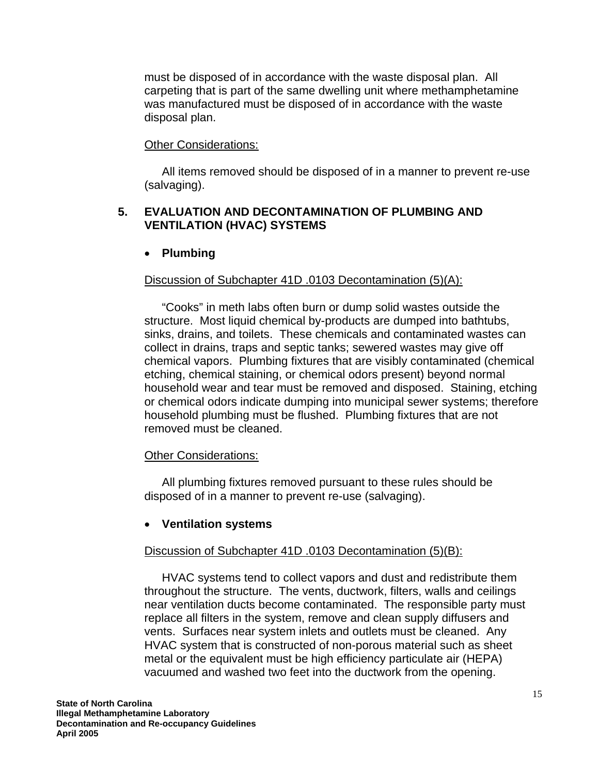must be disposed of in accordance with the waste disposal plan. All carpeting that is part of the same dwelling unit where methamphetamine was manufactured must be disposed of in accordance with the waste disposal plan.

#### **Other Considerations:**

All items removed should be disposed of in a manner to prevent re-use (salvaging).

#### **5. EVALUATION AND DECONTAMINATION OF PLUMBING AND VENTILATION (HVAC) SYSTEMS**

#### • **Plumbing**

#### Discussion of Subchapter 41D .0103 Decontamination (5)(A):

"Cooks" in meth labs often burn or dump solid wastes outside the structure. Most liquid chemical by-products are dumped into bathtubs, sinks, drains, and toilets. These chemicals and contaminated wastes can collect in drains, traps and septic tanks; sewered wastes may give off chemical vapors. Plumbing fixtures that are visibly contaminated (chemical etching, chemical staining, or chemical odors present) beyond normal household wear and tear must be removed and disposed. Staining, etching or chemical odors indicate dumping into municipal sewer systems; therefore household plumbing must be flushed. Plumbing fixtures that are not removed must be cleaned.

#### **Other Considerations:**

All plumbing fixtures removed pursuant to these rules should be disposed of in a manner to prevent re-use (salvaging).

#### • **Ventilation systems**

#### Discussion of Subchapter 41D .0103 Decontamination (5)(B):

HVAC systems tend to collect vapors and dust and redistribute them throughout the structure. The vents, ductwork, filters, walls and ceilings near ventilation ducts become contaminated. The responsible party must replace all filters in the system, remove and clean supply diffusers and vents. Surfaces near system inlets and outlets must be cleaned. Any HVAC system that is constructed of non-porous material such as sheet metal or the equivalent must be high efficiency particulate air (HEPA) vacuumed and washed two feet into the ductwork from the opening.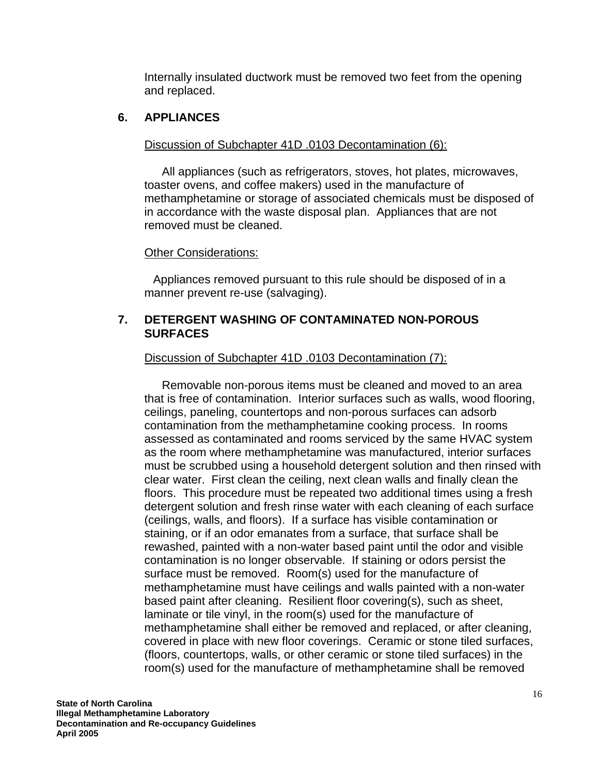Internally insulated ductwork must be removed two feet from the opening and replaced.

## **6. APPLIANCES**

Discussion of Subchapter 41D .0103 Decontamination (6):

All appliances (such as refrigerators, stoves, hot plates, microwaves, toaster ovens, and coffee makers) used in the manufacture of methamphetamine or storage of associated chemicals must be disposed of in accordance with the waste disposal plan. Appliances that are not removed must be cleaned.

## **Other Considerations:**

Appliances removed pursuant to this rule should be disposed of in a manner prevent re-use (salvaging).

#### **7. DETERGENT WASHING OF CONTAMINATED NON-POROUS SURFACES**

#### Discussion of Subchapter 41D .0103 Decontamination (7):

Removable non-porous items must be cleaned and moved to an area that is free of contamination. Interior surfaces such as walls, wood flooring, ceilings, paneling, countertops and non-porous surfaces can adsorb contamination from the methamphetamine cooking process. In rooms assessed as contaminated and rooms serviced by the same HVAC system as the room where methamphetamine was manufactured, interior surfaces must be scrubbed using a household detergent solution and then rinsed with clear water. First clean the ceiling, next clean walls and finally clean the floors. This procedure must be repeated two additional times using a fresh detergent solution and fresh rinse water with each cleaning of each surface (ceilings, walls, and floors). If a surface has visible contamination or staining, or if an odor emanates from a surface, that surface shall be rewashed, painted with a non-water based paint until the odor and visible contamination is no longer observable. If staining or odors persist the surface must be removed. Room(s) used for the manufacture of methamphetamine must have ceilings and walls painted with a non-water based paint after cleaning. Resilient floor covering(s), such as sheet, laminate or tile vinyl, in the room(s) used for the manufacture of methamphetamine shall either be removed and replaced, or after cleaning, covered in place with new floor coverings. Ceramic or stone tiled surfaces, (floors, countertops, walls, or other ceramic or stone tiled surfaces) in the room(s) used for the manufacture of methamphetamine shall be removed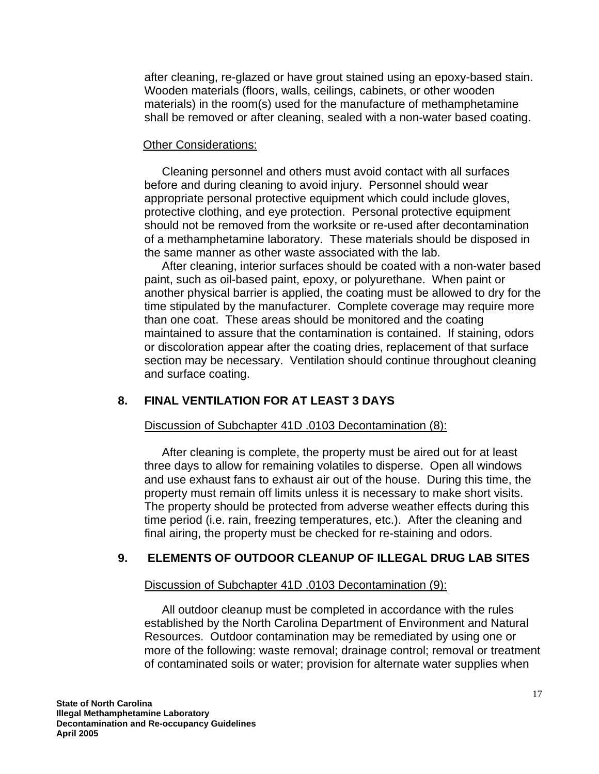after cleaning, re-glazed or have grout stained using an epoxy-based stain. Wooden materials (floors, walls, ceilings, cabinets, or other wooden materials) in the room(s) used for the manufacture of methamphetamine shall be removed or after cleaning, sealed with a non-water based coating.

### **Other Considerations:**

Cleaning personnel and others must avoid contact with all surfaces before and during cleaning to avoid injury. Personnel should wear appropriate personal protective equipment which could include gloves, protective clothing, and eye protection. Personal protective equipment should not be removed from the worksite or re-used after decontamination of a methamphetamine laboratory. These materials should be disposed in the same manner as other waste associated with the lab.

After cleaning, interior surfaces should be coated with a non-water based paint, such as oil-based paint, epoxy, or polyurethane. When paint or another physical barrier is applied, the coating must be allowed to dry for the time stipulated by the manufacturer. Complete coverage may require more than one coat. These areas should be monitored and the coating maintained to assure that the contamination is contained. If staining, odors or discoloration appear after the coating dries, replacement of that surface section may be necessary. Ventilation should continue throughout cleaning and surface coating.

## **8. FINAL VENTILATION FOR AT LEAST 3 DAYS**

Discussion of Subchapter 41D .0103 Decontamination (8):

After cleaning is complete, the property must be aired out for at least three days to allow for remaining volatiles to disperse. Open all windows and use exhaust fans to exhaust air out of the house. During this time, the property must remain off limits unless it is necessary to make short visits. The property should be protected from adverse weather effects during this time period (i.e. rain, freezing temperatures, etc.). After the cleaning and final airing, the property must be checked for re-staining and odors.

## **9. ELEMENTS OF OUTDOOR CLEANUP OF ILLEGAL DRUG LAB SITES**

#### Discussion of Subchapter 41D .0103 Decontamination (9):

All outdoor cleanup must be completed in accordance with the rules established by the North Carolina Department of Environment and Natural Resources. Outdoor contamination may be remediated by using one or more of the following: waste removal; drainage control; removal or treatment of contaminated soils or water; provision for alternate water supplies when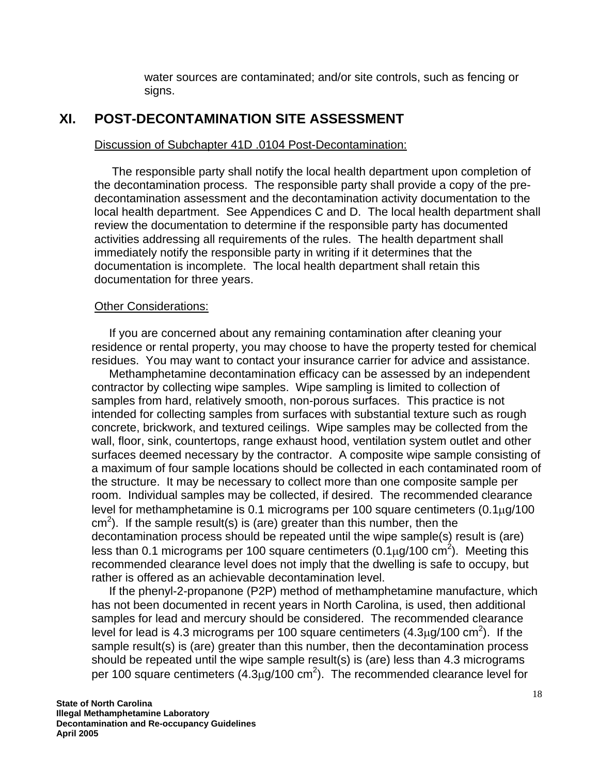water sources are contaminated; and/or site controls, such as fencing or signs.

## **XI. POST-DECONTAMINATION SITE ASSESSMENT**

#### Discussion of Subchapter 41D .0104 Post-Decontamination:

The responsible party shall notify the local health department upon completion of the decontamination process. The responsible party shall provide a copy of the predecontamination assessment and the decontamination activity documentation to the local health department. See Appendices C and D. The local health department shall review the documentation to determine if the responsible party has documented activities addressing all requirements of the rules. The health department shall immediately notify the responsible party in writing if it determines that the documentation is incomplete. The local health department shall retain this documentation for three years.

#### Other Considerations:

If you are concerned about any remaining contamination after cleaning your residence or rental property, you may choose to have the property tested for chemical residues. You may want to contact your insurance carrier for advice and assistance.

Methamphetamine decontamination efficacy can be assessed by an independent contractor by collecting wipe samples. Wipe sampling is limited to collection of samples from hard, relatively smooth, non-porous surfaces. This practice is not intended for collecting samples from surfaces with substantial texture such as rough concrete, brickwork, and textured ceilings. Wipe samples may be collected from the wall, floor, sink, countertops, range exhaust hood, ventilation system outlet and other surfaces deemed necessary by the contractor. A composite wipe sample consisting of a maximum of four sample locations should be collected in each contaminated room of the structure. It may be necessary to collect more than one composite sample per room. Individual samples may be collected, if desired. The recommended clearance level for methamphetamine is 0.1 micrograms per 100 square centimeters  $(0.1\mu g/100$  $\text{cm}^2$ ). If the sample result(s) is (are) greater than this number, then the decontamination process should be repeated until the wipe sample(s) result is (are) less than 0.1 micrograms per 100 square centimeters (0.1 $\mu$ g/100 cm<sup>2</sup>). Meeting this recommended clearance level does not imply that the dwelling is safe to occupy, but rather is offered as an achievable decontamination level.

If the phenyl-2-propanone (P2P) method of methamphetamine manufacture, which has not been documented in recent years in North Carolina, is used, then additional samples for lead and mercury should be considered. The recommended clearance level for lead is 4.3 micrograms per 100 square centimeters (4.3 $\mu$ g/100 cm<sup>2</sup>). If the sample result(s) is (are) greater than this number, then the decontamination process should be repeated until the wipe sample result(s) is (are) less than 4.3 micrograms per 100 square centimeters (4.3 $\mu$ g/100 cm<sup>2</sup>). The recommended clearance level for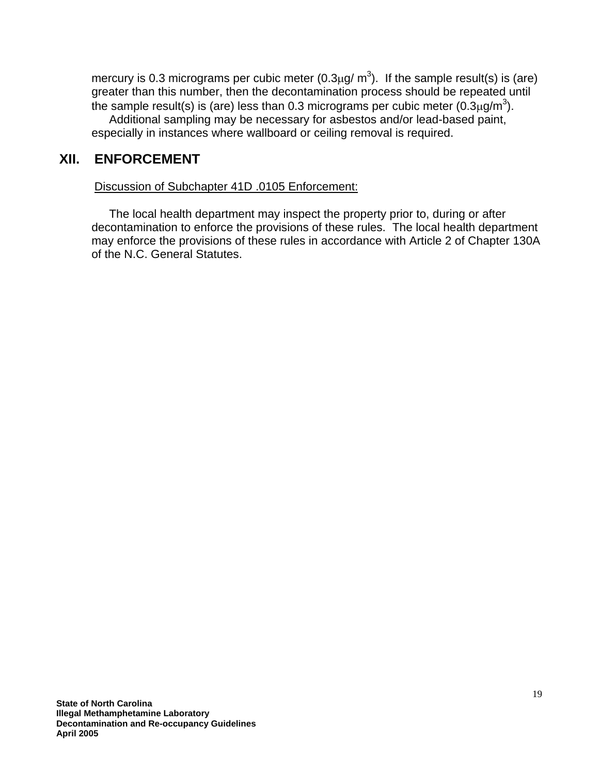mercury is 0.3 micrograms per cubic meter (0.3 $\mu$ g/ m<sup>3</sup>). If the sample result(s) is (are) greater than this number, then the decontamination process should be repeated until the sample result(s) is (are) less than 0.3 micrograms per cubic meter (0.3 $\mu$ g/m<sup>3</sup>).

Additional sampling may be necessary for asbestos and/or lead-based paint, especially in instances where wallboard or ceiling removal is required.

# **XII. ENFORCEMENT**

### Discussion of Subchapter 41D .0105 Enforcement:

The local health department may inspect the property prior to, during or after decontamination to enforce the provisions of these rules. The local health department may enforce the provisions of these rules in accordance with Article 2 of Chapter 130A of the N.C. General Statutes.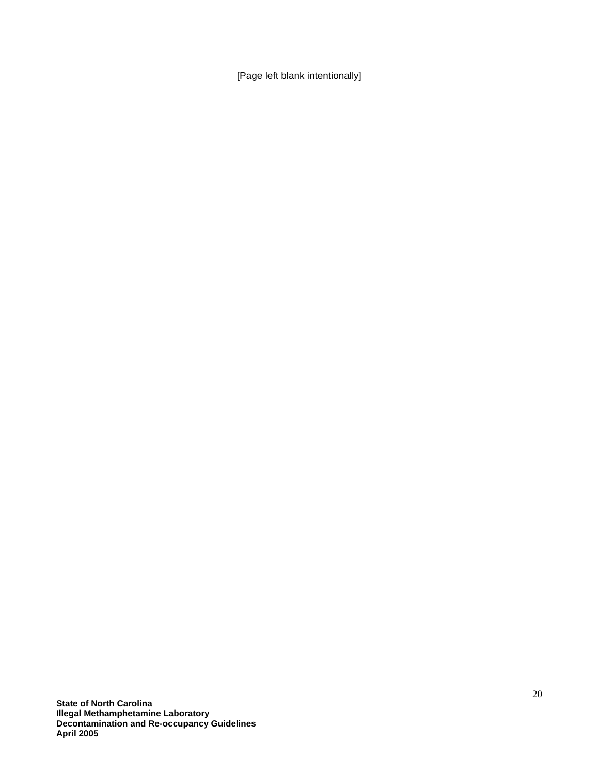[Page left blank intentionally]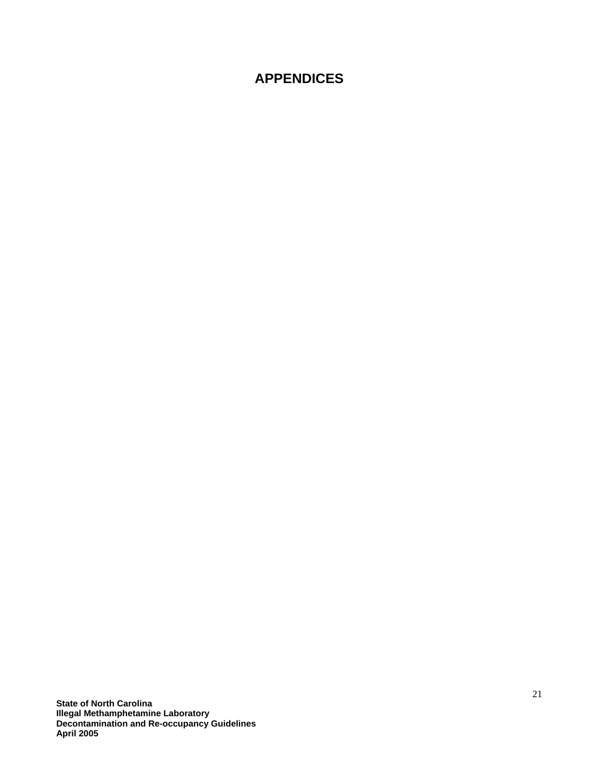# **APPENDICES**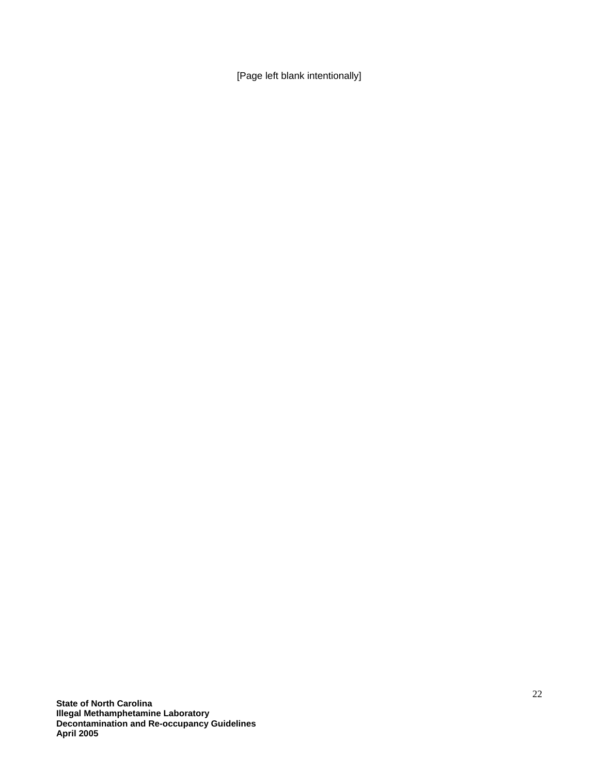[Page left blank intentionally]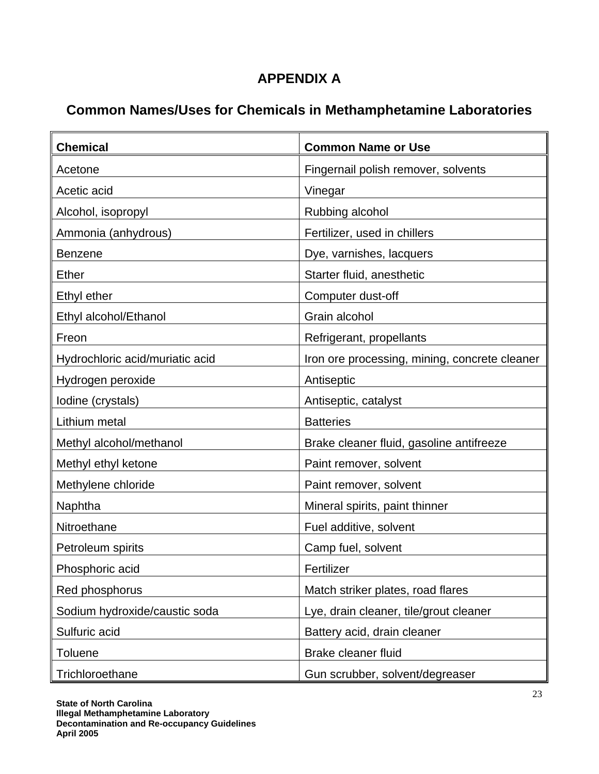# **APPENDIX A**

# **Common Names/Uses for Chemicals in Methamphetamine Laboratories**

| <b>Chemical</b>                 | <b>Common Name or Use</b>                     |
|---------------------------------|-----------------------------------------------|
| Acetone                         | Fingernail polish remover, solvents           |
| Acetic acid                     | Vinegar                                       |
| Alcohol, isopropyl              | Rubbing alcohol                               |
| Ammonia (anhydrous)             | Fertilizer, used in chillers                  |
| <b>Benzene</b>                  | Dye, varnishes, lacquers                      |
| <b>Ether</b>                    | Starter fluid, anesthetic                     |
| Ethyl ether                     | Computer dust-off                             |
| Ethyl alcohol/Ethanol           | Grain alcohol                                 |
| Freon                           | Refrigerant, propellants                      |
| Hydrochloric acid/muriatic acid | Iron ore processing, mining, concrete cleaner |
| Hydrogen peroxide               | Antiseptic                                    |
| Iodine (crystals)               | Antiseptic, catalyst                          |
| Lithium metal                   | <b>Batteries</b>                              |
| Methyl alcohol/methanol         | Brake cleaner fluid, gasoline antifreeze      |
| Methyl ethyl ketone             | Paint remover, solvent                        |
| Methylene chloride              | Paint remover, solvent                        |
| Naphtha                         | Mineral spirits, paint thinner                |
| Nitroethane                     | Fuel additive, solvent                        |
| Petroleum spirits               | Camp fuel, solvent                            |
| Phosphoric acid                 | Fertilizer                                    |
| Red phosphorus                  | Match striker plates, road flares             |
| Sodium hydroxide/caustic soda   | Lye, drain cleaner, tile/grout cleaner        |
| Sulfuric acid                   | Battery acid, drain cleaner                   |
| <b>Toluene</b>                  | Brake cleaner fluid                           |
| Trichloroethane                 | Gun scrubber, solvent/degreaser               |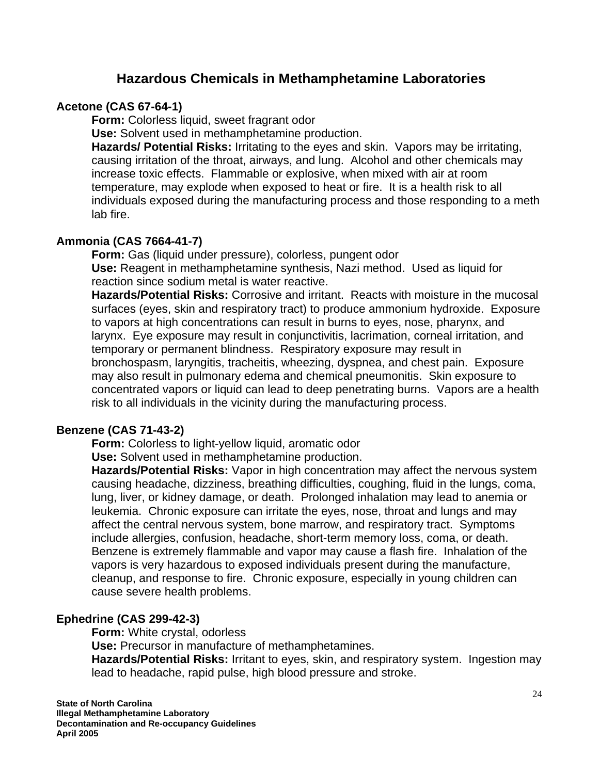## **Hazardous Chemicals in Methamphetamine Laboratories**

#### **Acetone (CAS 67-64-1)**

**Form:** Colorless liquid, sweet fragrant odor

**Use:** Solvent used in methamphetamine production.

**Hazards/ Potential Risks:** Irritating to the eyes and skin. Vapors may be irritating, causing irritation of the throat, airways, and lung. Alcohol and other chemicals may increase toxic effects. Flammable or explosive, when mixed with air at room temperature, may explode when exposed to heat or fire. It is a health risk to all individuals exposed during the manufacturing process and those responding to a meth lab fire.

#### **Ammonia (CAS 7664-41-7)**

**Form:** Gas (liquid under pressure), colorless, pungent odor **Use:** Reagent in methamphetamine synthesis, Nazi method. Used as liquid for reaction since sodium metal is water reactive.

**Hazards/Potential Risks:** Corrosive and irritant. Reacts with moisture in the mucosal surfaces (eyes, skin and respiratory tract) to produce ammonium hydroxide. Exposure to vapors at high concentrations can result in burns to eyes, nose, pharynx, and larynx. Eye exposure may result in conjunctivitis, lacrimation, corneal irritation, and temporary or permanent blindness. Respiratory exposure may result in bronchospasm, laryngitis, tracheitis, wheezing, dyspnea, and chest pain. Exposure may also result in pulmonary edema and chemical pneumonitis. Skin exposure to concentrated vapors or liquid can lead to deep penetrating burns. Vapors are a health risk to all individuals in the vicinity during the manufacturing process.

#### **Benzene (CAS 71-43-2)**

**Form:** Colorless to light-yellow liquid, aromatic odor

**Use:** Solvent used in methamphetamine production.

**Hazards/Potential Risks:** Vapor in high concentration may affect the nervous system causing headache, dizziness, breathing difficulties, coughing, fluid in the lungs, coma, lung, liver, or kidney damage, or death. Prolonged inhalation may lead to anemia or leukemia. Chronic exposure can irritate the eyes, nose, throat and lungs and may affect the central nervous system, bone marrow, and respiratory tract. Symptoms include allergies, confusion, headache, short-term memory loss, coma, or death. Benzene is extremely flammable and vapor may cause a flash fire. Inhalation of the vapors is very hazardous to exposed individuals present during the manufacture, cleanup, and response to fire. Chronic exposure, especially in young children can cause severe health problems.

## **Ephedrine (CAS 299-42-3)**

**Form:** White crystal, odorless

**Use:** Precursor in manufacture of methamphetamines.

**Hazards/Potential Risks:** Irritant to eyes, skin, and respiratory system. Ingestion may lead to headache, rapid pulse, high blood pressure and stroke.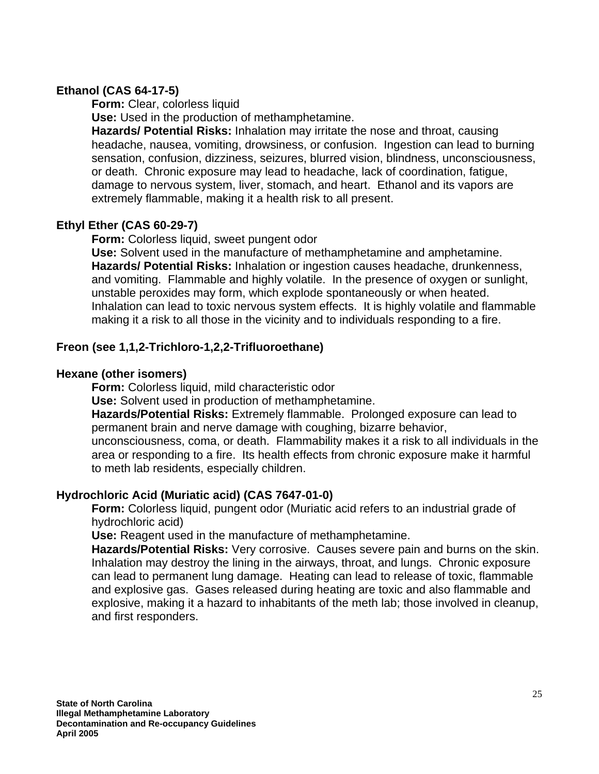#### **Ethanol (CAS 64-17-5)**

**Form:** Clear, colorless liquid

**Use:** Used in the production of methamphetamine.

**Hazards/ Potential Risks:** Inhalation may irritate the nose and throat, causing headache, nausea, vomiting, drowsiness, or confusion. Ingestion can lead to burning sensation, confusion, dizziness, seizures, blurred vision, blindness, unconsciousness, or death. Chronic exposure may lead to headache, lack of coordination, fatigue, damage to nervous system, liver, stomach, and heart. Ethanol and its vapors are extremely flammable, making it a health risk to all present.

## **Ethyl Ether (CAS 60-29-7)**

**Form:** Colorless liquid, sweet pungent odor

**Use:** Solvent used in the manufacture of methamphetamine and amphetamine. **Hazards/ Potential Risks:** Inhalation or ingestion causes headache, drunkenness, and vomiting. Flammable and highly volatile. In the presence of oxygen or sunlight, unstable peroxides may form, which explode spontaneously or when heated. Inhalation can lead to toxic nervous system effects. It is highly volatile and flammable making it a risk to all those in the vicinity and to individuals responding to a fire.

## **Freon (see 1,1,2-Trichloro-1,2,2-Trifluoroethane)**

#### **Hexane (other isomers)**

**Form:** Colorless liquid, mild characteristic odor

**Use:** Solvent used in production of methamphetamine.

**Hazards/Potential Risks:** Extremely flammable. Prolonged exposure can lead to permanent brain and nerve damage with coughing, bizarre behavior,

unconsciousness, coma, or death. Flammability makes it a risk to all individuals in the area or responding to a fire. Its health effects from chronic exposure make it harmful to meth lab residents, especially children.

## **Hydrochloric Acid (Muriatic acid) (CAS 7647-01-0)**

**Form:** Colorless liquid, pungent odor (Muriatic acid refers to an industrial grade of hydrochloric acid)

**Use:** Reagent used in the manufacture of methamphetamine.

**Hazards/Potential Risks:** Very corrosive. Causes severe pain and burns on the skin. Inhalation may destroy the lining in the airways, throat, and lungs. Chronic exposure can lead to permanent lung damage. Heating can lead to release of toxic, flammable and explosive gas. Gases released during heating are toxic and also flammable and explosive, making it a hazard to inhabitants of the meth lab; those involved in cleanup, and first responders.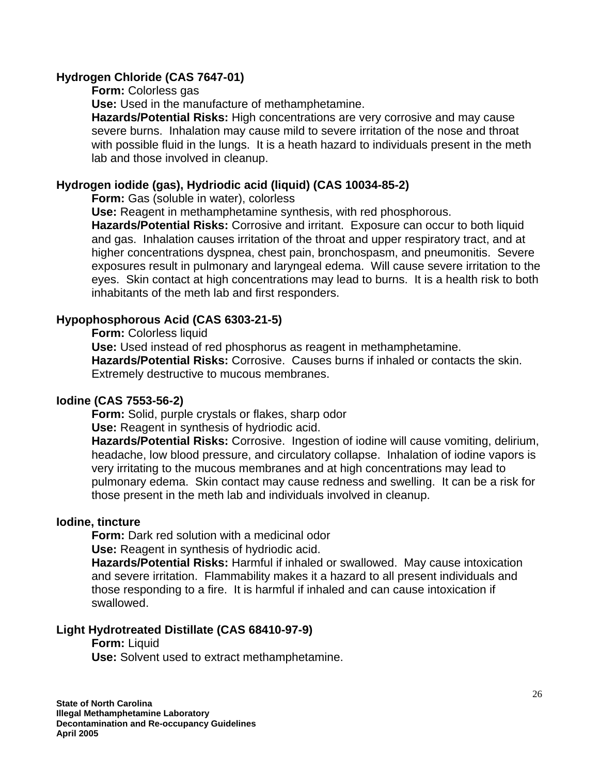#### **Hydrogen Chloride (CAS 7647-01)**

#### **Form:** Colorless gas

**Use:** Used in the manufacture of methamphetamine.

**Hazards/Potential Risks:** High concentrations are very corrosive and may cause severe burns. Inhalation may cause mild to severe irritation of the nose and throat with possible fluid in the lungs. It is a heath hazard to individuals present in the meth lab and those involved in cleanup.

#### **Hydrogen iodide (gas), Hydriodic acid (liquid) (CAS 10034-85-2)**

**Form:** Gas (soluble in water), colorless

**Use:** Reagent in methamphetamine synthesis, with red phosphorous.

**Hazards/Potential Risks:** Corrosive and irritant. Exposure can occur to both liquid and gas. Inhalation causes irritation of the throat and upper respiratory tract, and at higher concentrations dyspnea, chest pain, bronchospasm, and pneumonitis. Severe exposures result in pulmonary and laryngeal edema. Will cause severe irritation to the eyes. Skin contact at high concentrations may lead to burns. It is a health risk to both inhabitants of the meth lab and first responders.

#### **Hypophosphorous Acid (CAS 6303-21-5)**

**Form:** Colorless liquid

**Use:** Used instead of red phosphorus as reagent in methamphetamine.

**Hazards/Potential Risks:** Corrosive. Causes burns if inhaled or contacts the skin. Extremely destructive to mucous membranes.

#### **Iodine (CAS 7553-56-2)**

**Form:** Solid, purple crystals or flakes, sharp odor **Use:** Reagent in synthesis of hydriodic acid.

**Hazards/Potential Risks:** Corrosive. Ingestion of iodine will cause vomiting, delirium, headache, low blood pressure, and circulatory collapse. Inhalation of iodine vapors is very irritating to the mucous membranes and at high concentrations may lead to pulmonary edema. Skin contact may cause redness and swelling. It can be a risk for those present in the meth lab and individuals involved in cleanup.

#### **Iodine, tincture**

**Form:** Dark red solution with a medicinal odor

**Use:** Reagent in synthesis of hydriodic acid.

**Hazards/Potential Risks:** Harmful if inhaled or swallowed. May cause intoxication and severe irritation. Flammability makes it a hazard to all present individuals and those responding to a fire. It is harmful if inhaled and can cause intoxication if swallowed.

#### **Light Hydrotreated Distillate (CAS 68410-97-9)**

#### **Form:** Liquid

**Use:** Solvent used to extract methamphetamine.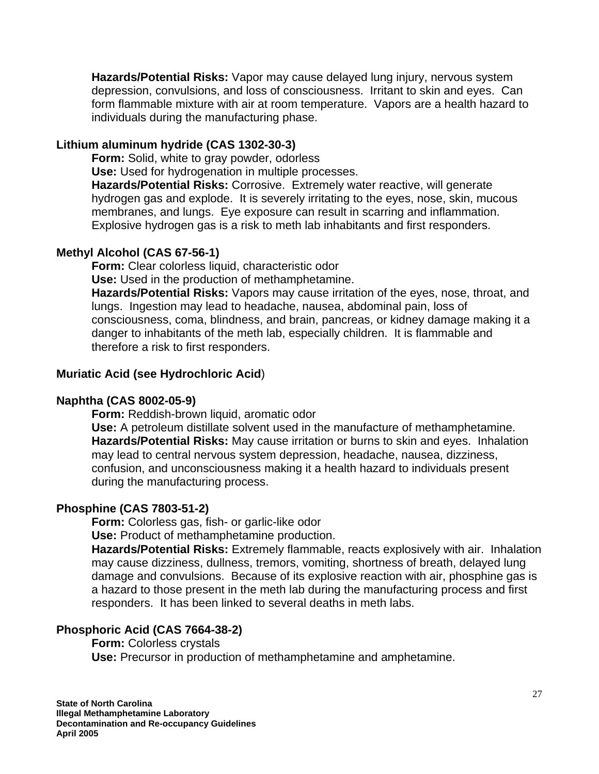**Hazards/Potential Risks:** Vapor may cause delayed lung injury, nervous system depression, convulsions, and loss of consciousness. Irritant to skin and eyes. Can form flammable mixture with air at room temperature. Vapors are a health hazard to individuals during the manufacturing phase.

#### **Lithium aluminum hydride (CAS 1302-30-3)**

**Form:** Solid, white to gray powder, odorless

**Use:** Used for hydrogenation in multiple processes.

**Hazards/Potential Risks:** Corrosive. Extremely water reactive, will generate hydrogen gas and explode. It is severely irritating to the eyes, nose, skin, mucous membranes, and lungs. Eye exposure can result in scarring and inflammation. Explosive hydrogen gas is a risk to meth lab inhabitants and first responders.

#### **Methyl Alcohol (CAS 67-56-1)**

**Form:** Clear colorless liquid, characteristic odor

**Use:** Used in the production of methamphetamine.

**Hazards/Potential Risks:** Vapors may cause irritation of the eyes, nose, throat, and lungs. Ingestion may lead to headache, nausea, abdominal pain, loss of consciousness, coma, blindness, and brain, pancreas, or kidney damage making it a danger to inhabitants of the meth lab, especially children. It is flammable and therefore a risk to first responders.

## **Muriatic Acid (see Hydrochloric Acid**)

## **Naphtha (CAS 8002-05-9)**

**Form:** Reddish-brown liquid, aromatic odor **Use:** A petroleum distillate solvent used in the manufacture of methamphetamine. **Hazards/Potential Risks:** May cause irritation or burns to skin and eyes. Inhalation may lead to central nervous system depression, headache, nausea, dizziness, confusion, and unconsciousness making it a health hazard to individuals present during the manufacturing process.

## **Phosphine (CAS 7803-51-2)**

**Form:** Colorless gas, fish- or garlic-like odor

**Use:** Product of methamphetamine production.

**Hazards/Potential Risks:** Extremely flammable, reacts explosively with air. Inhalation may cause dizziness, dullness, tremors, vomiting, shortness of breath, delayed lung damage and convulsions. Because of its explosive reaction with air, phosphine gas is a hazard to those present in the meth lab during the manufacturing process and first responders. It has been linked to several deaths in meth labs.

## **Phosphoric Acid (CAS 7664-38-2)**

#### **Form:** Colorless crystals **Use:** Precursor in production of methamphetamine and amphetamine.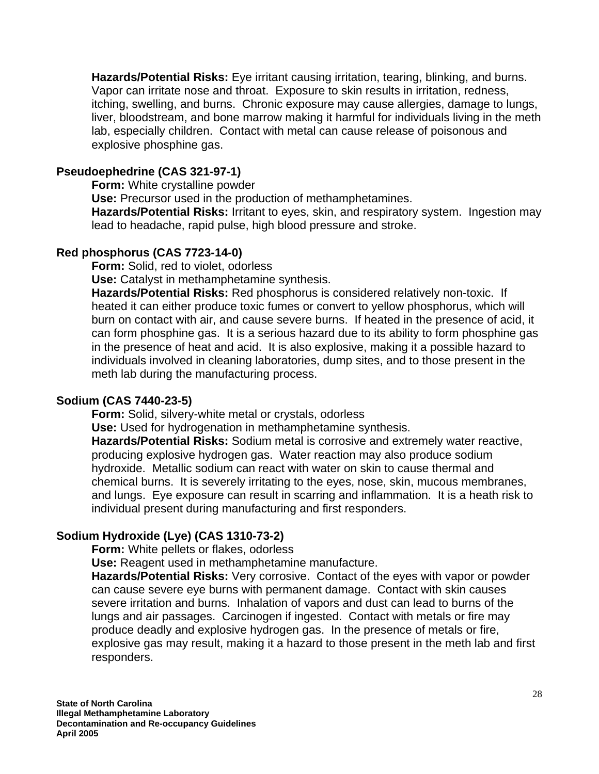**Hazards/Potential Risks:** Eye irritant causing irritation, tearing, blinking, and burns. Vapor can irritate nose and throat. Exposure to skin results in irritation, redness, itching, swelling, and burns. Chronic exposure may cause allergies, damage to lungs, liver, bloodstream, and bone marrow making it harmful for individuals living in the meth lab, especially children. Contact with metal can cause release of poisonous and explosive phosphine gas.

#### **Pseudoephedrine (CAS 321-97-1)**

**Form:** White crystalline powder

**Use:** Precursor used in the production of methamphetamines.

**Hazards/Potential Risks:** Irritant to eyes, skin, and respiratory system. Ingestion may lead to headache, rapid pulse, high blood pressure and stroke.

#### **Red phosphorus (CAS 7723-14-0)**

**Form:** Solid, red to violet, odorless

**Use:** Catalyst in methamphetamine synthesis.

**Hazards/Potential Risks:** Red phosphorus is considered relatively non-toxic. If heated it can either produce toxic fumes or convert to yellow phosphorus, which will burn on contact with air, and cause severe burns. If heated in the presence of acid, it can form phosphine gas. It is a serious hazard due to its ability to form phosphine gas in the presence of heat and acid. It is also explosive, making it a possible hazard to individuals involved in cleaning laboratories, dump sites, and to those present in the meth lab during the manufacturing process.

#### **Sodium (CAS 7440-23-5)**

**Form:** Solid, silvery-white metal or crystals, odorless

**Use:** Used for hydrogenation in methamphetamine synthesis.

**Hazards/Potential Risks:** Sodium metal is corrosive and extremely water reactive, producing explosive hydrogen gas. Water reaction may also produce sodium hydroxide. Metallic sodium can react with water on skin to cause thermal and chemical burns. It is severely irritating to the eyes, nose, skin, mucous membranes, and lungs. Eye exposure can result in scarring and inflammation. It is a heath risk to individual present during manufacturing and first responders.

## **Sodium Hydroxide (Lye) (CAS 1310-73-2)**

**Form:** White pellets or flakes, odorless

**Use:** Reagent used in methamphetamine manufacture.

**Hazards/Potential Risks:** Very corrosive. Contact of the eyes with vapor or powder can cause severe eye burns with permanent damage. Contact with skin causes severe irritation and burns. Inhalation of vapors and dust can lead to burns of the lungs and air passages. Carcinogen if ingested. Contact with metals or fire may produce deadly and explosive hydrogen gas. In the presence of metals or fire, explosive gas may result, making it a hazard to those present in the meth lab and first responders.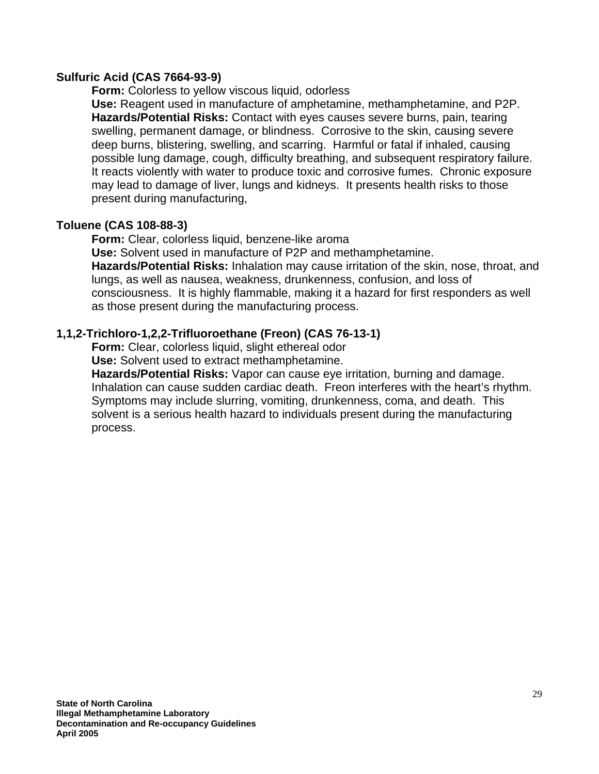#### **Sulfuric Acid (CAS 7664-93-9)**

**Form:** Colorless to yellow viscous liquid, odorless **Use:** Reagent used in manufacture of amphetamine, methamphetamine, and P2P. **Hazards/Potential Risks:** Contact with eyes causes severe burns, pain, tearing swelling, permanent damage, or blindness. Corrosive to the skin, causing severe deep burns, blistering, swelling, and scarring. Harmful or fatal if inhaled, causing possible lung damage, cough, difficulty breathing, and subsequent respiratory failure. It reacts violently with water to produce toxic and corrosive fumes. Chronic exposure may lead to damage of liver, lungs and kidneys. It presents health risks to those present during manufacturing,

## **Toluene (CAS 108-88-3)**

**Form:** Clear, colorless liquid, benzene-like aroma **Use:** Solvent used in manufacture of P2P and methamphetamine. **Hazards/Potential Risks:** Inhalation may cause irritation of the skin, nose, throat, and lungs, as well as nausea, weakness, drunkenness, confusion, and loss of consciousness. It is highly flammable, making it a hazard for first responders as well as those present during the manufacturing process.

## **1,1,2-Trichloro-1,2,2-Trifluoroethane (Freon) (CAS 76-13-1)**

**Form:** Clear, colorless liquid, slight ethereal odor

**Use:** Solvent used to extract methamphetamine.

**Hazards/Potential Risks:** Vapor can cause eye irritation, burning and damage. Inhalation can cause sudden cardiac death. Freon interferes with the heart's rhythm. Symptoms may include slurring, vomiting, drunkenness, coma, and death. This solvent is a serious health hazard to individuals present during the manufacturing process.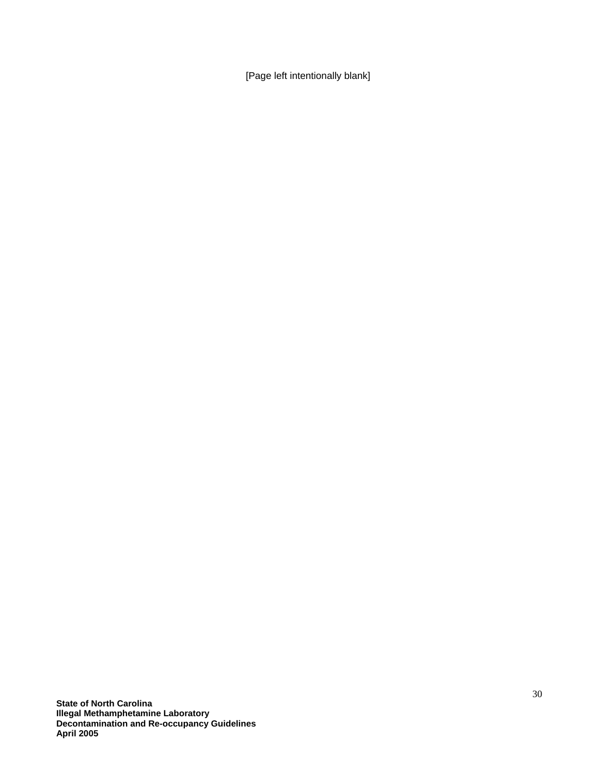[Page left intentionally blank]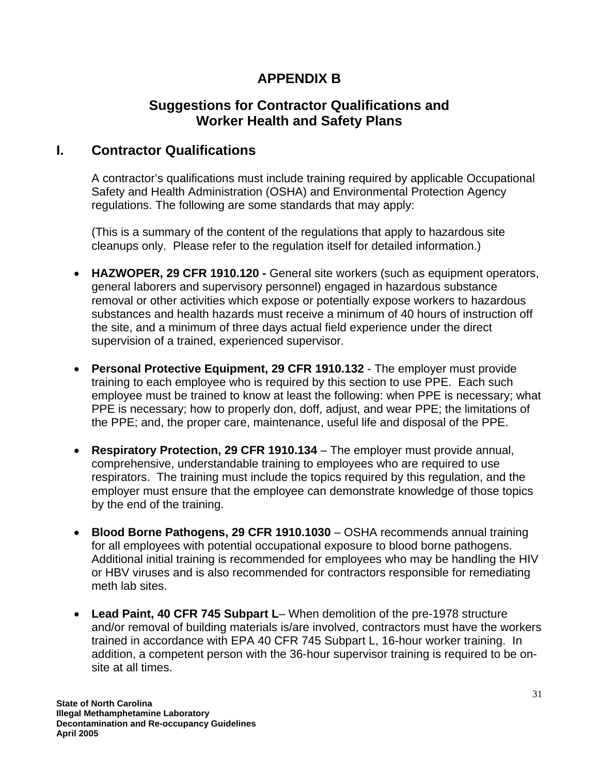# **APPENDIX B**

# **Suggestions for Contractor Qualifications and Worker Health and Safety Plans**

## **I. Contractor Qualifications**

A contractor's qualifications must include training required by applicable Occupational Safety and Health Administration (OSHA) and Environmental Protection Agency regulations. The following are some standards that may apply:

(This is a summary of the content of the regulations that apply to hazardous site cleanups only. Please refer to the regulation itself for detailed information.)

- **HAZWOPER, 29 CFR 1910.120 -** General site workers (such as equipment operators, general laborers and supervisory personnel) engaged in hazardous substance removal or other activities which expose or potentially expose workers to hazardous substances and health hazards must receive a minimum of 40 hours of instruction off the site, and a minimum of three days actual field experience under the direct supervision of a trained, experienced supervisor.
- **Personal Protective Equipment, 29 CFR 1910.132** The employer must provide training to each employee who is required by this section to use PPE. Each such employee must be trained to know at least the following: when PPE is necessary; what PPE is necessary; how to properly don, doff, adjust, and wear PPE; the limitations of the PPE; and, the proper care, maintenance, useful life and disposal of the PPE.
- **Respiratory Protection, 29 CFR 1910.134** The employer must provide annual, comprehensive, understandable training to employees who are required to use respirators. The training must include the topics required by this regulation, and the employer must ensure that the employee can demonstrate knowledge of those topics by the end of the training.
- **Blood Borne Pathogens, 29 CFR 1910.1030** OSHA recommends annual training for all employees with potential occupational exposure to blood borne pathogens. Additional initial training is recommended for employees who may be handling the HIV or HBV viruses and is also recommended for contractors responsible for remediating meth lab sites.
- **Lead Paint, 40 CFR 745 Subpart L** When demolition of the pre-1978 structure and/or removal of building materials is/are involved, contractors must have the workers trained in accordance with EPA 40 CFR 745 Subpart L, 16-hour worker training. In addition, a competent person with the 36-hour supervisor training is required to be onsite at all times.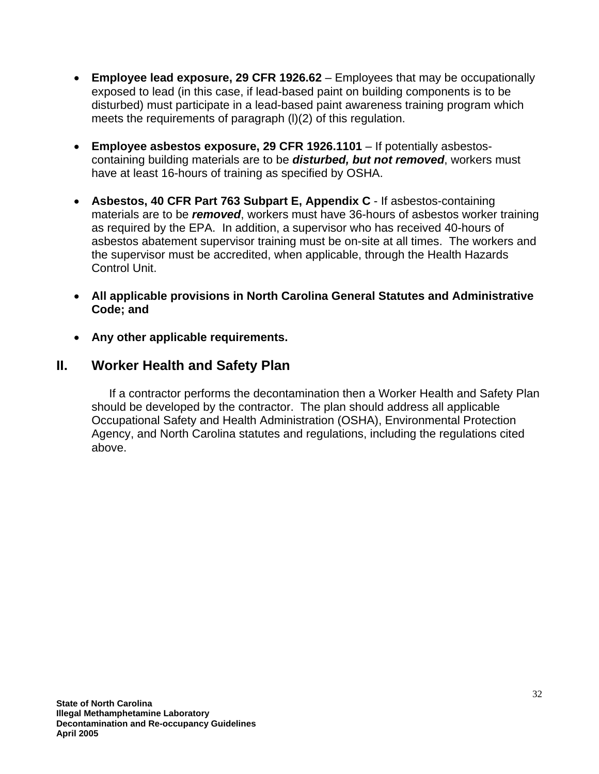- **Employee lead exposure, 29 CFR 1926.62**  Employees that may be occupationally exposed to lead (in this case, if lead-based paint on building components is to be disturbed) must participate in a lead-based paint awareness training program which meets the requirements of paragraph (l)(2) of this regulation.
- **Employee asbestos exposure, 29 CFR 1926.1101**  If potentially asbestoscontaining building materials are to be *disturbed, but not removed*, workers must have at least 16-hours of training as specified by OSHA.
- **Asbestos, 40 CFR Part 763 Subpart E, Appendix C** If asbestos-containing materials are to be *removed*, workers must have 36-hours of asbestos worker training as required by the EPA. In addition, a supervisor who has received 40-hours of asbestos abatement supervisor training must be on-site at all times. The workers and the supervisor must be accredited, when applicable, through the Health Hazards Control Unit.
- **All applicable provisions in North Carolina General Statutes and Administrative Code; and**
- **Any other applicable requirements.**

## **II. Worker Health and Safety Plan**

If a contractor performs the decontamination then a Worker Health and Safety Plan should be developed by the contractor. The plan should address all applicable Occupational Safety and Health Administration (OSHA), Environmental Protection Agency, and North Carolina statutes and regulations, including the regulations cited above.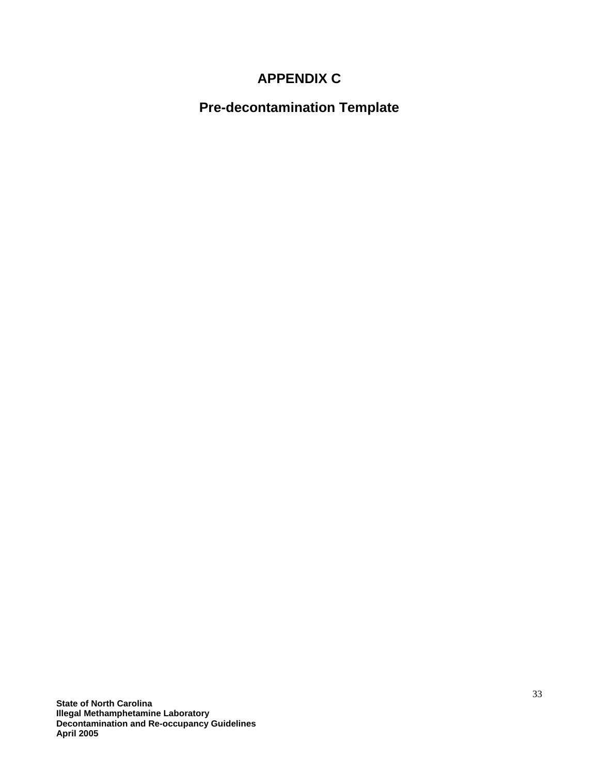# **APPENDIX C**

**Pre-decontamination Template**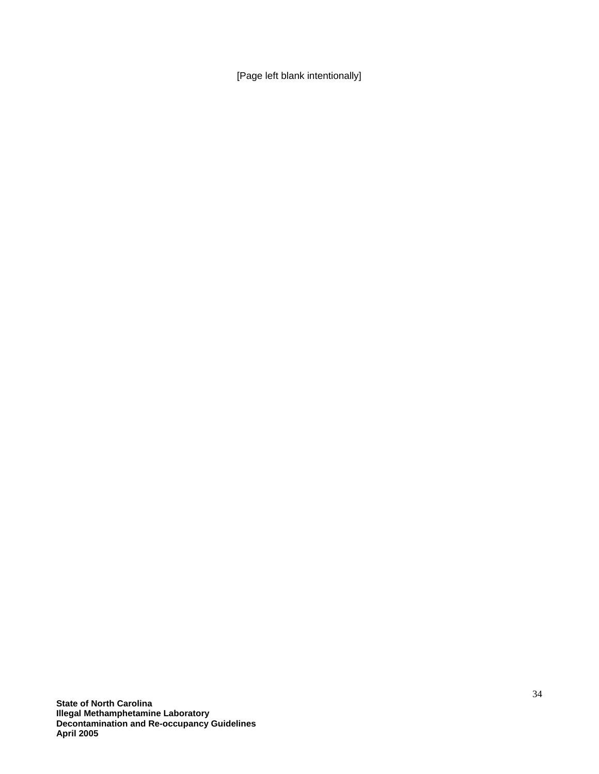[Page left blank intentionally]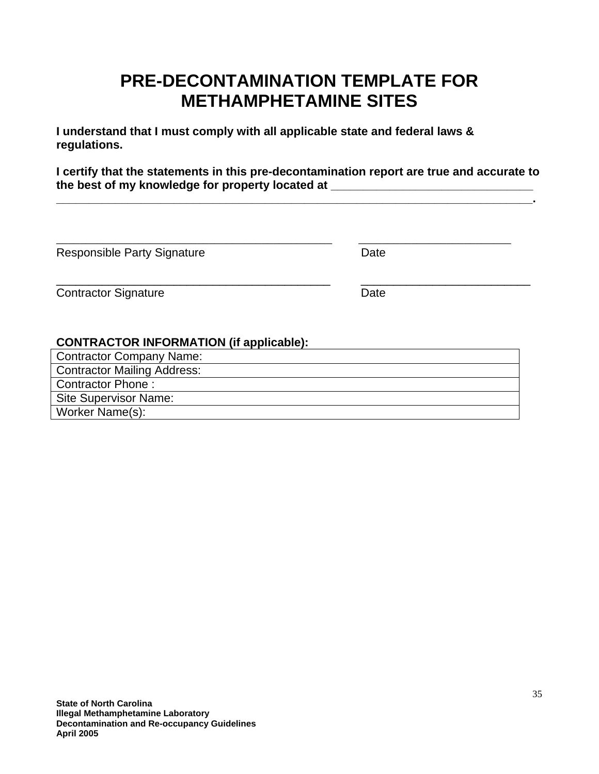# **PRE-DECONTAMINATION TEMPLATE FOR METHAMPHETAMINE SITES**

**I understand that I must comply with all applicable state and federal laws & regulations.** 

**I certify that the statements in this pre-decontamination report are true and accurate to the best of my knowledge for property located at \_\_\_\_\_\_\_\_\_\_\_\_\_\_\_\_\_\_\_\_\_\_\_\_\_\_\_\_\_\_\_** 

**\_\_\_\_\_\_\_\_\_\_\_\_\_\_\_\_\_\_\_\_\_\_\_\_\_\_\_\_\_\_\_\_\_\_\_\_\_\_\_\_\_\_\_\_\_\_\_\_\_\_\_\_\_\_\_\_\_\_\_\_\_\_\_\_\_\_\_\_\_\_\_\_\_.** 

\_\_\_\_\_\_\_\_\_\_\_\_\_\_\_\_\_\_\_\_\_\_\_\_\_\_\_\_\_\_\_\_\_\_\_\_\_\_\_\_\_\_\_\_\_\_\_ \_\_\_\_\_\_\_\_\_\_\_\_\_\_\_\_\_\_\_\_\_\_\_\_\_\_

Responsible Party Signature **Date** Date

Contractor Signature Date

### **CONTRACTOR INFORMATION (if applicable):**

Contractor Company Name: Contractor Mailing Address: Contractor Phone : Site Supervisor Name: Worker Name(s):

\_\_\_\_\_\_\_\_\_\_\_\_\_\_\_\_\_\_\_\_\_\_\_\_\_\_\_\_\_\_\_\_\_\_\_\_\_\_\_\_\_\_ \_\_\_\_\_\_\_\_\_\_\_\_\_\_\_\_\_\_\_\_\_\_\_\_\_\_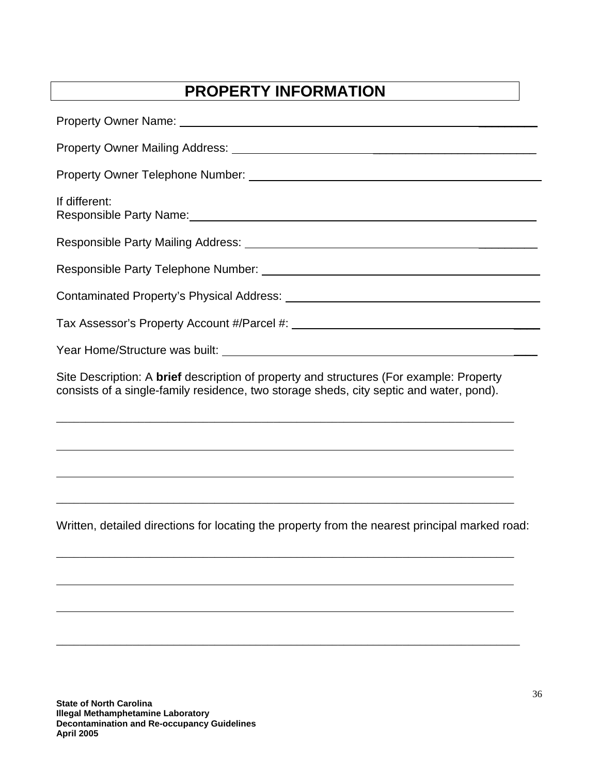# **PROPERTY INFORMATION**

| If different:                                                                                                                                                                      |  |  |  |
|------------------------------------------------------------------------------------------------------------------------------------------------------------------------------------|--|--|--|
|                                                                                                                                                                                    |  |  |  |
|                                                                                                                                                                                    |  |  |  |
|                                                                                                                                                                                    |  |  |  |
|                                                                                                                                                                                    |  |  |  |
|                                                                                                                                                                                    |  |  |  |
| Site Description: A brief description of property and structures (For example: Property<br>consists of a single-family residence, two storage sheds, city septic and water, pond). |  |  |  |
|                                                                                                                                                                                    |  |  |  |
| Written, detailed directions for locating the property from the nearest principal marked road:                                                                                     |  |  |  |
|                                                                                                                                                                                    |  |  |  |

\_\_\_\_\_\_\_\_\_\_\_\_\_\_\_\_\_\_\_\_\_\_\_\_\_\_\_\_\_\_\_\_\_\_\_\_\_\_\_\_\_\_\_\_\_\_\_\_\_\_\_\_\_\_\_\_\_\_\_\_\_\_\_\_\_\_\_\_\_\_\_\_\_\_\_\_\_\_\_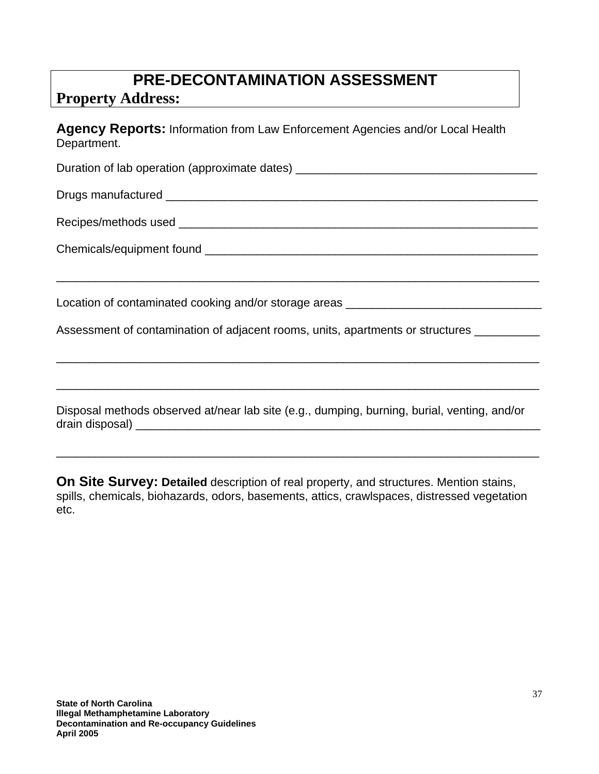# **PRE-DECONTAMINATION ASSESSMENT**

# **Property Address:**

**Agency Reports:** Information from Law Enforcement Agencies and/or Local Health Department.

Duration of lab operation (approximate dates) \_\_\_\_\_\_\_\_\_\_\_\_\_\_\_\_\_\_\_\_\_\_\_\_\_\_\_\_\_\_\_\_\_\_\_

Drugs manufactured \_\_\_\_\_\_\_\_\_\_\_\_\_\_\_\_\_\_\_\_\_\_\_\_\_\_\_\_\_\_\_\_\_\_\_\_\_\_\_\_\_\_\_\_\_\_\_\_\_\_\_\_\_\_\_\_\_

Recipes/methods used **Exercise** and the set of the set of the set of the set of the set of the set of the set of the set of the set of the set of the set of the set of the set of the set of the set of the set of the set of

Chemicals/equipment found **Example 2018** 

Location of contaminated cooking and/or storage areas \_\_\_\_\_\_\_\_\_\_\_\_\_\_\_\_\_\_\_\_\_\_\_\_\_\_

Assessment of contamination of adjacent rooms, units, apartments or structures \_\_\_\_\_\_\_\_

Disposal methods observed at/near lab site (e.g., dumping, burning, burial, venting, and/or drain disposal) \_\_\_\_\_\_\_\_\_\_\_\_\_\_\_\_\_\_\_\_\_\_\_\_\_\_\_\_\_\_\_\_\_\_\_\_\_\_\_\_\_\_\_\_\_\_\_\_\_\_\_\_\_\_\_\_\_\_\_\_\_\_

\_\_\_\_\_\_\_\_\_\_\_\_\_\_\_\_\_\_\_\_\_\_\_\_\_\_\_\_\_\_\_\_\_\_\_\_\_\_\_\_\_\_\_\_\_\_\_\_\_\_\_\_\_\_\_\_\_\_\_\_\_\_\_\_\_\_\_\_\_\_\_\_\_\_

\_\_\_\_\_\_\_\_\_\_\_\_\_\_\_\_\_\_\_\_\_\_\_\_\_\_\_\_\_\_\_\_\_\_\_\_\_\_\_\_\_\_\_\_\_\_\_\_\_\_\_\_\_\_\_\_\_\_\_\_\_\_\_\_\_\_\_\_\_\_\_\_\_\_

\_\_\_\_\_\_\_\_\_\_\_\_\_\_\_\_\_\_\_\_\_\_\_\_\_\_\_\_\_\_\_\_\_\_\_\_\_\_\_\_\_\_\_\_\_\_\_\_\_\_\_\_\_\_\_\_\_\_\_\_\_\_\_\_\_\_\_\_\_\_\_\_\_\_

\_\_\_\_\_\_\_\_\_\_\_\_\_\_\_\_\_\_\_\_\_\_\_\_\_\_\_\_\_\_\_\_\_\_\_\_\_\_\_\_\_\_\_\_\_\_\_\_\_\_\_\_\_\_\_\_\_\_\_\_\_\_\_\_\_\_\_\_\_\_\_\_\_\_

**On Site Survey: Detailed** description of real property, and structures. Mention stains, spills, chemicals, biohazards, odors, basements, attics, crawlspaces, distressed vegetation etc.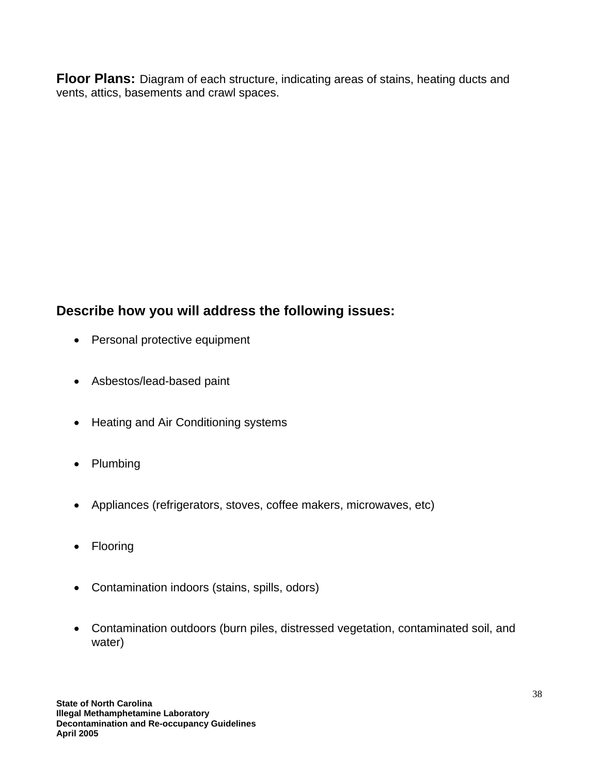**Floor Plans:** Diagram of each structure, indicating areas of stains, heating ducts and vents, attics, basements and crawl spaces.

# **Describe how you will address the following issues:**

- Personal protective equipment
- Asbestos/lead-based paint
- Heating and Air Conditioning systems
- Plumbing
- Appliances (refrigerators, stoves, coffee makers, microwaves, etc)
- Flooring
- Contamination indoors (stains, spills, odors)
- Contamination outdoors (burn piles, distressed vegetation, contaminated soil, and water)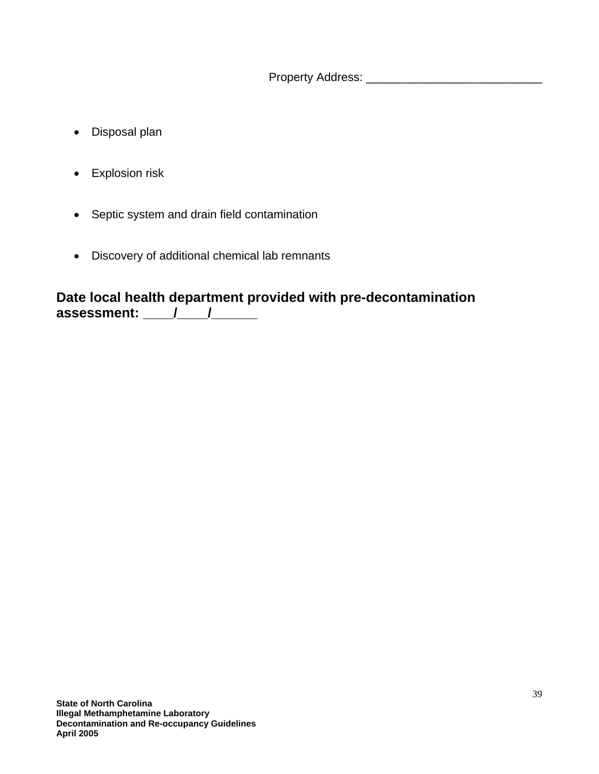Property Address: \_\_\_\_\_\_\_\_\_\_\_\_\_\_\_\_\_\_\_\_\_\_\_\_\_\_\_

- Disposal plan
- Explosion risk
- Septic system and drain field contamination
- Discovery of additional chemical lab remnants

**Date local health department provided with pre-decontamination assessment: \_\_\_\_/\_\_\_\_/\_\_\_\_\_\_**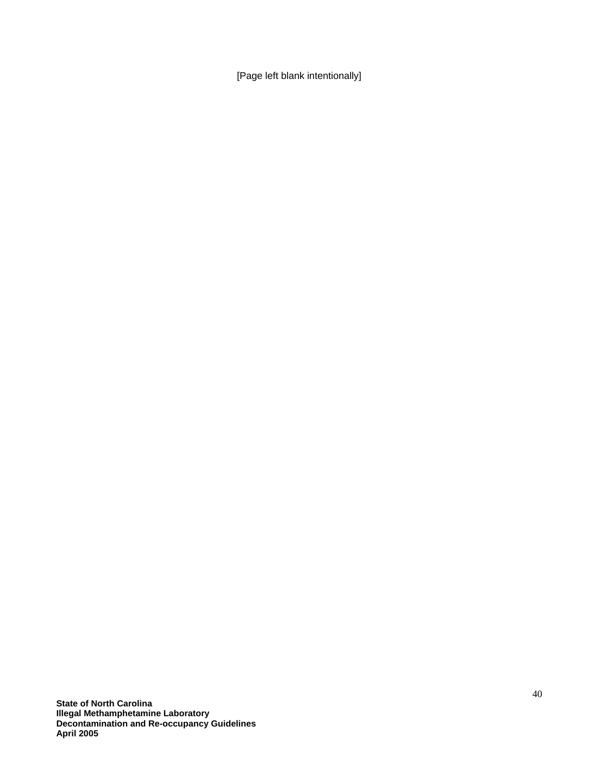[Page left blank intentionally]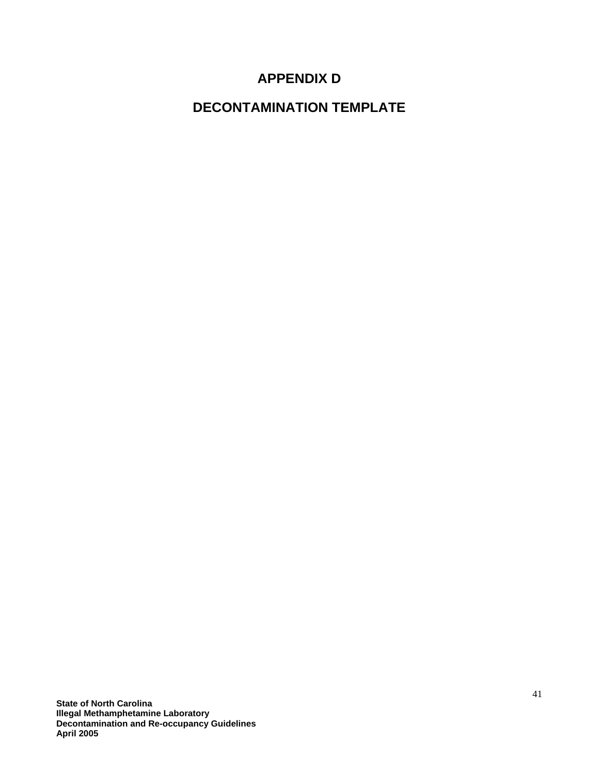# **APPENDIX D**

# **DECONTAMINATION TEMPLATE**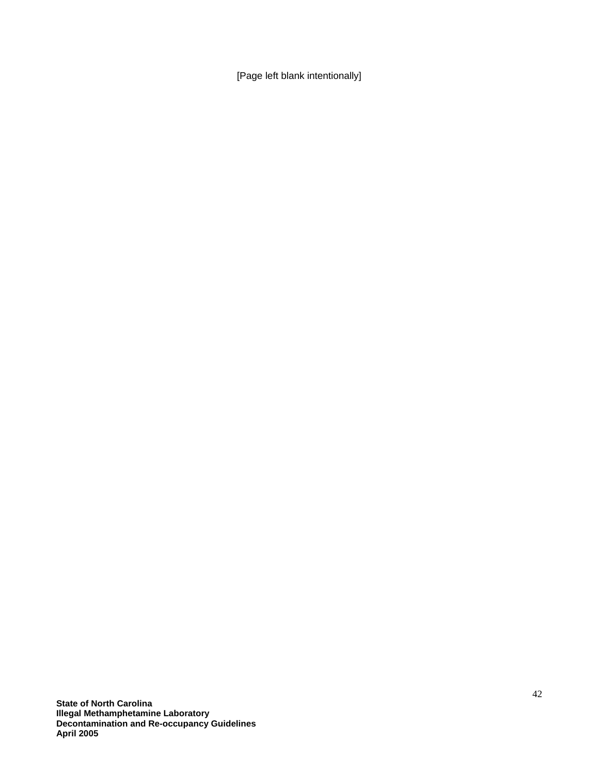[Page left blank intentionally]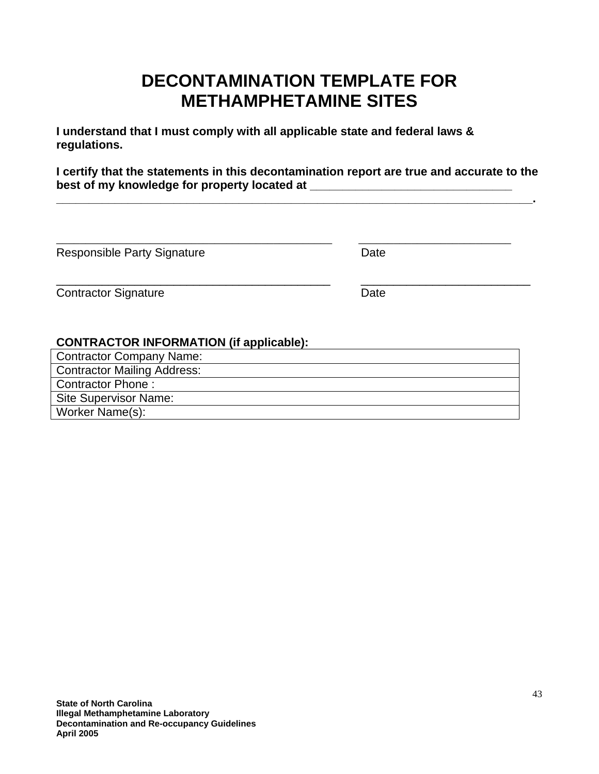# **DECONTAMINATION TEMPLATE FOR METHAMPHETAMINE SITES**

**I understand that I must comply with all applicable state and federal laws & regulations.** 

**I certify that the statements in this decontamination report are true and accurate to the best of my knowledge for property located at \_\_\_\_\_\_\_\_\_\_\_\_\_\_\_\_\_\_\_\_\_\_\_\_\_\_\_\_\_\_\_** 

**\_\_\_\_\_\_\_\_\_\_\_\_\_\_\_\_\_\_\_\_\_\_\_\_\_\_\_\_\_\_\_\_\_\_\_\_\_\_\_\_\_\_\_\_\_\_\_\_\_\_\_\_\_\_\_\_\_\_\_\_\_\_\_\_\_\_\_\_\_\_\_\_\_.** 

\_\_\_\_\_\_\_\_\_\_\_\_\_\_\_\_\_\_\_\_\_\_\_\_\_\_\_\_\_\_\_\_\_\_\_\_\_\_\_\_\_\_\_\_\_\_\_ \_\_\_\_\_\_\_\_\_\_\_\_\_\_\_\_\_\_\_\_\_\_\_\_\_\_

Responsible Party Signature **Date** Date

Contractor Signature Date

### **CONTRACTOR INFORMATION (if applicable):**

Contractor Company Name: Contractor Mailing Address: Contractor Phone : Site Supervisor Name: Worker Name(s):

\_\_\_\_\_\_\_\_\_\_\_\_\_\_\_\_\_\_\_\_\_\_\_\_\_\_\_\_\_\_\_\_\_\_\_\_\_\_\_\_\_\_ \_\_\_\_\_\_\_\_\_\_\_\_\_\_\_\_\_\_\_\_\_\_\_\_\_\_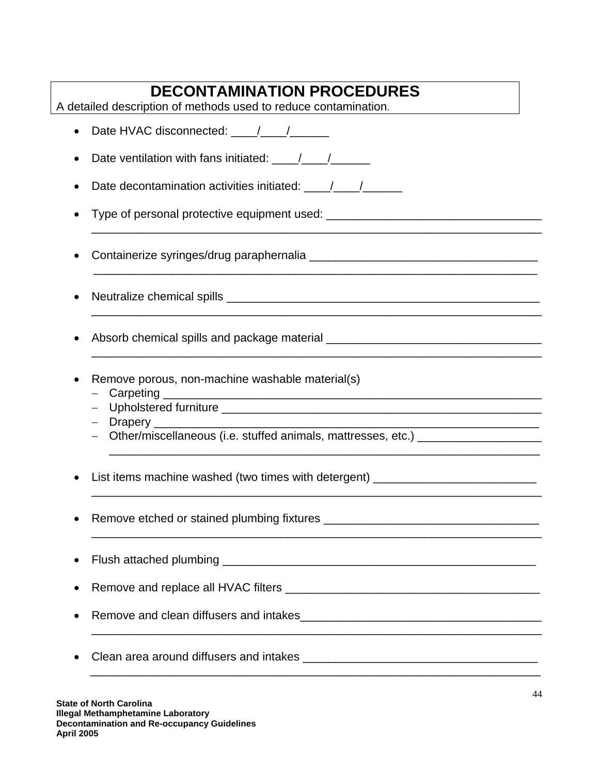# **DECONTAMINATION PROCEDURES**

A detailed description of methods used to reduce contamination.

• Date HVAC disconnected:  $\frac{1}{2}$  / • Date ventilation with fans initiated:  $\sqrt{2\pi}$ • Date decontamination activities initiated: \_\_\_\_/\_\_\_\_/\_\_\_\_\_\_\_\_\_\_\_\_\_\_\_\_\_\_\_\_\_\_\_\_\_ • Type of personal protective equipment used: \_\_\_\_\_\_\_\_\_\_\_\_\_\_\_\_\_\_\_\_\_\_\_\_\_\_\_\_\_\_\_\_\_\_ \_\_\_\_\_\_\_\_\_\_\_\_\_\_\_\_\_\_\_\_\_\_\_\_\_\_\_\_\_\_\_\_\_\_\_\_\_\_\_\_\_\_\_\_\_\_\_\_\_\_\_\_\_\_\_\_\_\_\_\_\_\_\_\_\_\_\_\_\_ • Containerize syringes/drug paraphernalia \_\_\_\_\_\_\_\_\_\_\_\_\_\_\_\_\_\_\_\_\_\_\_\_\_\_\_\_\_\_\_\_\_\_\_  $\frac{1}{2}$  ,  $\frac{1}{2}$  ,  $\frac{1}{2}$  ,  $\frac{1}{2}$  ,  $\frac{1}{2}$  ,  $\frac{1}{2}$  ,  $\frac{1}{2}$  ,  $\frac{1}{2}$  ,  $\frac{1}{2}$  ,  $\frac{1}{2}$  ,  $\frac{1}{2}$  ,  $\frac{1}{2}$  ,  $\frac{1}{2}$  ,  $\frac{1}{2}$  ,  $\frac{1}{2}$  ,  $\frac{1}{2}$  ,  $\frac{1}{2}$  ,  $\frac{1}{2}$  ,  $\frac{1$ • Neutralize chemical spills \_\_\_\_\_\_\_\_\_\_\_\_\_\_\_\_\_\_\_\_\_\_\_\_\_\_\_\_\_\_\_\_\_\_\_\_\_\_\_\_\_\_\_\_\_\_\_\_ \_\_\_\_\_\_\_\_\_\_\_\_\_\_\_\_\_\_\_\_\_\_\_\_\_\_\_\_\_\_\_\_\_\_\_\_\_\_\_\_\_\_\_\_\_\_\_\_\_\_\_\_\_\_\_\_\_\_\_\_\_\_\_\_\_\_\_\_\_ • Absorb chemical spills and package material \_\_\_\_\_\_\_\_\_\_\_\_\_\_\_\_\_\_\_\_\_\_\_\_\_\_\_\_\_\_\_\_\_\_ \_\_\_\_\_\_\_\_\_\_\_\_\_\_\_\_\_\_\_\_\_\_\_\_\_\_\_\_\_\_\_\_\_\_\_\_\_\_\_\_\_\_\_\_\_\_\_\_\_\_\_\_\_\_\_\_\_\_\_\_\_\_\_\_\_\_\_\_\_ • Remove porous, non-machine washable material(s) − Carpeting − Upholstered furniture \_\_\_\_\_\_\_\_\_\_\_\_\_\_\_\_\_\_\_\_\_\_\_\_\_\_\_\_\_\_\_\_\_\_\_\_\_\_\_\_\_\_\_\_\_\_\_\_\_ − Drapery \_\_\_\_\_\_\_\_\_\_\_\_\_\_\_\_\_\_\_\_\_\_\_\_\_\_\_\_\_\_\_\_\_\_\_\_\_\_\_\_\_\_\_\_\_\_\_\_\_\_\_\_\_\_\_\_\_\_\_ − Other/miscellaneous (i.e. stuffed animals, mattresses, etc.) \_\_\_\_\_\_\_\_\_\_\_\_\_\_\_\_\_\_\_  $\overline{\phantom{a}}$  , and the carpeting  $\overline{\phantom{a}}$  , and  $\overline{\phantom{a}}$  , and  $\overline{\phantom{a}}$  , and  $\overline{\phantom{a}}$  , and  $\overline{\phantom{a}}$ \_\_\_\_\_\_\_\_\_\_\_\_\_\_\_\_\_\_\_\_\_\_\_\_\_\_\_\_\_\_\_\_\_\_\_\_\_\_\_\_\_\_\_\_\_\_\_\_\_\_\_\_\_\_\_\_\_\_\_\_\_\_\_\_\_\_ • List items machine washed (two times with detergent) \_\_\_\_\_\_\_\_\_\_\_\_\_\_\_\_\_\_\_\_\_\_\_\_\_ \_\_\_\_\_\_\_\_\_\_\_\_\_\_\_\_\_\_\_\_\_\_\_\_\_\_\_\_\_\_\_\_\_\_\_\_\_\_\_\_\_\_\_\_\_\_\_\_\_\_\_\_\_\_\_\_\_\_\_\_\_\_\_\_\_\_\_\_\_ • Remove etched or stained plumbing fixtures \_\_\_\_\_\_\_\_\_\_\_\_\_\_\_\_\_\_\_\_\_\_\_\_\_\_\_\_\_\_\_\_\_\_\_ \_\_\_\_\_\_\_\_\_\_\_\_\_\_\_\_\_\_\_\_\_\_\_\_\_\_\_\_\_\_\_\_\_\_\_\_\_\_\_\_\_\_\_\_\_\_\_\_\_\_\_\_\_\_\_\_\_\_\_\_\_\_\_\_\_\_\_\_\_ • Flush attached plumbing  $\blacksquare$ • Remove and replace all HVAC filters \_\_\_\_\_\_\_\_\_\_\_\_\_\_\_\_\_\_\_\_\_\_\_\_\_\_\_\_\_\_\_\_\_\_\_\_\_\_\_ • Remove and clean diffusers and intakes \_\_\_\_\_\_\_\_\_\_\_\_\_\_\_\_\_\_\_\_\_\_\_\_\_\_\_\_\_\_\_\_\_\_\_\_\_\_\_\_\_\_\_\_\_\_\_\_\_\_\_\_\_\_\_\_\_\_\_\_\_\_\_\_\_\_\_\_\_ • Clean area around diffusers and intakes

\_\_\_\_\_\_\_\_\_\_\_\_\_\_\_\_\_\_\_\_\_\_\_\_\_\_\_\_\_\_\_\_\_\_\_\_\_\_\_\_\_\_\_\_\_\_\_\_\_\_\_\_\_\_\_\_\_\_\_\_\_\_\_\_\_\_\_\_\_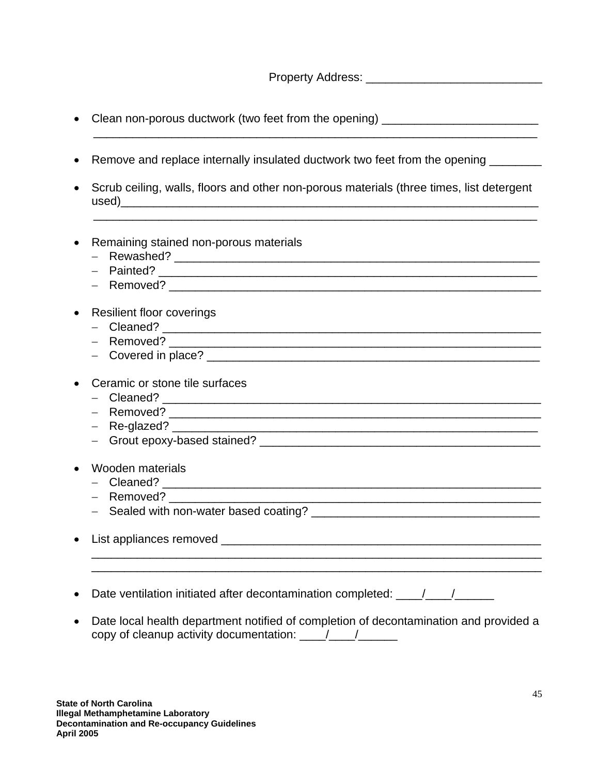Property Address: \_\_\_\_\_\_\_\_\_\_\_\_\_\_\_\_\_\_\_\_\_\_\_\_\_\_\_

- Clean non-porous ductwork (two feet from the opening)
- Remove and replace internally insulated ductwork two feet from the opening \_\_\_\_\_\_\_\_
- Scrub ceiling, walls, floors and other non-porous materials (three times, list detergent used)\_\_\_\_\_\_\_\_\_\_\_\_\_\_\_\_\_\_\_\_\_\_\_\_\_\_\_\_\_\_\_\_\_\_\_\_\_\_\_\_\_\_\_\_\_\_\_\_\_\_\_\_\_\_\_\_\_\_\_\_\_\_\_\_

 $\frac{1}{\sqrt{2}}$  ,  $\frac{1}{\sqrt{2}}$  ,  $\frac{1}{\sqrt{2}}$  ,  $\frac{1}{\sqrt{2}}$  ,  $\frac{1}{\sqrt{2}}$  ,  $\frac{1}{\sqrt{2}}$  ,  $\frac{1}{\sqrt{2}}$  ,  $\frac{1}{\sqrt{2}}$  ,  $\frac{1}{\sqrt{2}}$  ,  $\frac{1}{\sqrt{2}}$  ,  $\frac{1}{\sqrt{2}}$  ,  $\frac{1}{\sqrt{2}}$  ,  $\frac{1}{\sqrt{2}}$  ,  $\frac{1}{\sqrt{2}}$  ,  $\frac{1}{\sqrt{2}}$ 

- Remaining stained non-porous materials
	- − Rewashed? \_\_\_\_\_\_\_\_\_\_\_\_\_\_\_\_\_\_\_\_\_\_\_\_\_\_\_\_\_\_\_\_\_\_\_\_\_\_\_\_\_\_\_\_\_\_\_\_\_\_\_\_\_\_\_\_
	- − Painted? \_\_\_\_\_\_\_\_\_\_\_\_\_\_\_\_\_\_\_\_\_\_\_\_\_\_\_\_\_\_\_\_\_\_\_\_\_\_\_\_\_\_\_\_\_\_\_\_\_\_\_\_\_\_\_\_\_\_
	- − Removed? \_\_\_\_\_\_\_\_\_\_\_\_\_\_\_\_\_\_\_\_\_\_\_\_\_\_\_\_\_\_\_\_\_\_\_\_\_\_\_\_\_\_\_\_\_\_\_\_\_\_\_\_\_\_\_\_\_
- Resilient floor coverings
	- − Cleaned? \_\_\_\_\_\_\_\_\_\_\_\_\_\_\_\_\_\_\_\_\_\_\_\_\_\_\_\_\_\_\_\_\_\_\_\_\_\_\_\_\_\_\_\_\_\_\_\_\_\_\_\_\_\_\_\_\_\_
	- − Removed? \_\_\_\_\_\_\_\_\_\_\_\_\_\_\_\_\_\_\_\_\_\_\_\_\_\_\_\_\_\_\_\_\_\_\_\_\_\_\_\_\_\_\_\_\_\_\_\_\_\_\_\_\_\_\_\_\_
	- − Covered in place? \_\_\_\_\_\_\_\_\_\_\_\_\_\_\_\_\_\_\_\_\_\_\_\_\_\_\_\_\_\_\_\_\_\_\_\_\_\_\_\_\_\_\_\_\_\_\_\_\_\_\_
- Ceramic or stone tile surfaces
	- − Cleaned? \_\_\_\_\_\_\_\_\_\_\_\_\_\_\_\_\_\_\_\_\_\_\_\_\_\_\_\_\_\_\_\_\_\_\_\_\_\_\_\_\_\_\_\_\_\_\_\_\_\_\_\_\_\_\_\_\_\_
	- − Removed? \_\_\_\_\_\_\_\_\_\_\_\_\_\_\_\_\_\_\_\_\_\_\_\_\_\_\_\_\_\_\_\_\_\_\_\_\_\_\_\_\_\_\_\_\_\_\_\_\_\_\_\_\_\_\_\_\_
	- − Re-glazed? \_\_\_\_\_\_\_\_\_\_\_\_\_\_\_\_\_\_\_\_\_\_\_\_\_\_\_\_\_\_\_\_\_\_\_\_\_\_\_\_\_\_\_\_\_\_\_\_\_\_\_\_\_\_\_\_
	- − Grout epoxy-based stained? \_\_\_\_\_\_\_\_\_\_\_\_\_\_\_\_\_\_\_\_\_\_\_\_\_\_\_\_\_\_\_\_\_\_\_\_\_\_\_\_\_\_\_
- Wooden materials
	- − Cleaned? \_\_\_\_\_\_\_\_\_\_\_\_\_\_\_\_\_\_\_\_\_\_\_\_\_\_\_\_\_\_\_\_\_\_\_\_\_\_\_\_\_\_\_\_\_\_\_\_\_\_\_\_\_\_\_\_\_\_
	- − Removed? \_\_\_\_\_\_\_\_\_\_\_\_\_\_\_\_\_\_\_\_\_\_\_\_\_\_\_\_\_\_\_\_\_\_\_\_\_\_\_\_\_\_\_\_\_\_\_\_\_\_\_\_\_\_\_\_\_
	- − Sealed with non-water based coating? \_\_\_\_\_\_\_\_\_\_\_\_\_\_\_\_\_\_\_\_\_\_\_\_\_\_\_\_\_\_\_\_\_\_\_
- List appliances removed Letter and the set of the set of the set of the set of the set of the set of the set of the set of the set of the set of the set of the set of the set of the set of the set of the set of the set o
- Date ventilation initiated after decontamination completed:  $\frac{1}{\sqrt{1-\frac{1}{\sqrt{1-\frac{1}{\sqrt{1-\frac{1}{\sqrt{1-\frac{1}{\sqrt{1-\frac{1}{\sqrt{1-\frac{1}{\sqrt{1-\frac{1}{\sqrt{1-\frac{1}{\sqrt{1-\frac{1}{\sqrt{1-\frac{1}{\sqrt{1-\frac{1}{\sqrt{1-\frac{1}{\sqrt{1-\frac{1}{\sqrt{1-\frac{1}{\sqrt{1-\frac{1}{\sqrt{1-\frac{1}{\sqrt{1-\frac{1}{$
- Date local health department notified of completion of decontamination and provided a copy of cleanup activity documentation:  $\frac{1}{\sqrt{1-\frac{1}{\sqrt{1-\frac{1}{\sqrt{1-\frac{1}{\sqrt{1-\frac{1}{\sqrt{1-\frac{1}{\sqrt{1-\frac{1}{\sqrt{1-\frac{1}{\sqrt{1-\frac{1}{\sqrt{1-\frac{1}{\sqrt{1-\frac{1}{\sqrt{1-\frac{1}{\sqrt{1-\frac{1}{\sqrt{1-\frac{1}{\sqrt{1-\frac{1}{\sqrt{1-\frac{1}{\sqrt{1-\frac{1}{\sqrt{1-\frac{1}{\sqrt{1-\frac{1}{\sqrt{1-\frac{1}{\sqrt{1$

 $\overline{\phantom{a}}$  , and the contribution of the contribution of the contribution of the contribution of the contribution of the contribution of the contribution of the contribution of the contribution of the contribution of the  $\overline{\phantom{a}}$  , and the contribution of the contribution of the contribution of the contribution of the contribution of the contribution of the contribution of the contribution of the contribution of the contribution of the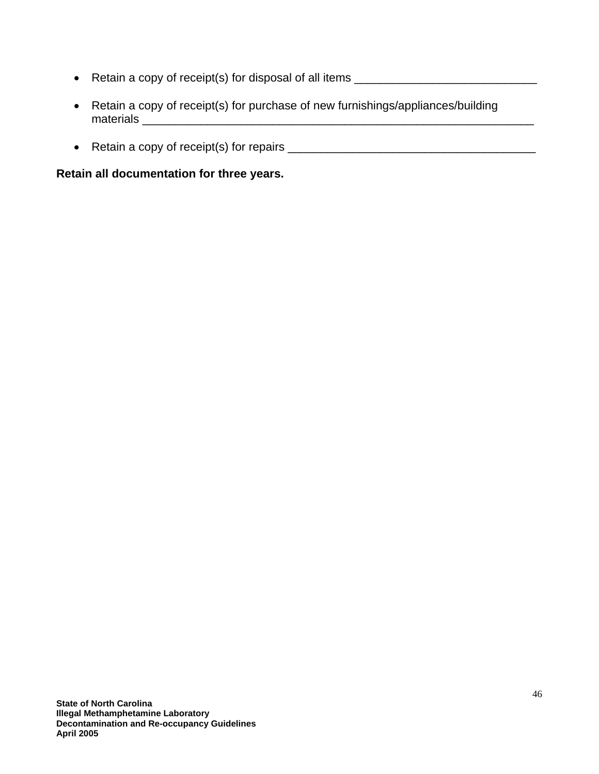- Retain a copy of receipt(s) for disposal of all items **with any contract of the system**
- Retain a copy of receipt(s) for purchase of new furnishings/appliances/building materials \_\_\_\_\_\_\_\_\_\_\_\_\_\_\_\_\_\_\_\_\_\_\_\_\_\_\_\_\_\_\_\_\_\_\_\_\_\_\_\_\_\_\_\_\_\_\_\_\_\_\_\_\_\_\_\_\_\_\_\_
- Retain a copy of receipt(s) for repairs \_\_\_\_\_\_\_\_\_\_\_\_\_\_\_\_\_\_\_\_\_\_\_\_\_\_\_\_\_\_\_\_\_\_\_\_\_\_

**Retain all documentation for three years.**